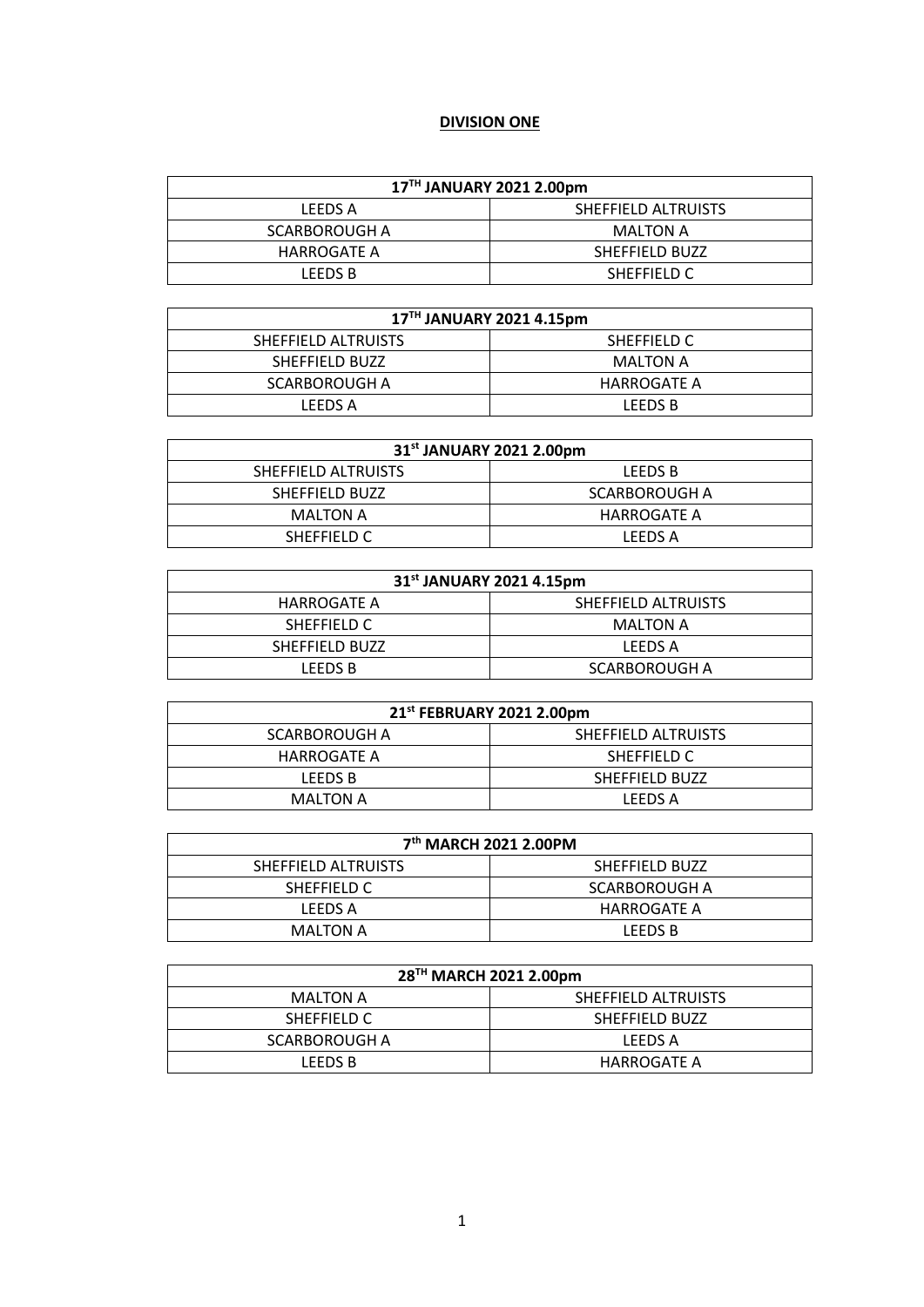# **DIVISION ONE**

| 17TH JANUARY 2021 2.00pm |                     |  |
|--------------------------|---------------------|--|
| LEEDS A                  | SHEFFIELD ALTRUISTS |  |
| SCARBOROUGH A            | MALTON A            |  |
| HARROGATE A              | SHEFFIELD BUZZ      |  |
| LEEDS B                  | SHEFFIELD C         |  |

| 17TH JANUARY 2021 4.15pm |             |  |
|--------------------------|-------------|--|
| SHEFFIELD ALTRUISTS      | SHEFFIELD C |  |
| SHEFFIELD BUZZ           | MALTON A    |  |
| SCARBOROUGH A            | HARROGATE A |  |
| LEEDS A                  | LEEDS B     |  |

| 31 <sup>st</sup> JANUARY 2021 2.00pm |                |  |
|--------------------------------------|----------------|--|
| SHEFFIELD ALTRUISTS                  | <b>LEEDS B</b> |  |
| SHEFFIELD BUZZ                       | SCARBOROUGH A  |  |
| <b>MALTON A</b>                      | HARROGATE A    |  |
| SHEFFIELD C                          | LEEDS A        |  |

| 31 <sup>st</sup> JANUARY 2021 4.15pm |                     |
|--------------------------------------|---------------------|
| HARROGATE A                          | SHEFFIELD ALTRUISTS |
| SHEFFIELD C                          | MALTON A            |
| SHEFFIELD BUZZ                       | LEEDS A             |
| LEEDS B                              | SCARBOROUGH A       |

| 21 <sup>st</sup> FEBRUARY 2021 2.00pm |                     |
|---------------------------------------|---------------------|
| SCARBOROUGH A                         | SHEFFIELD ALTRUISTS |
| HARROGATE A                           | SHEFFIELD C         |
| LEEDS B                               | SHEFFIELD BUZZ      |
| MALTON A                              | LEEDS A             |

| 7 <sup>th</sup> MARCH 2021 2.00PM |                |  |
|-----------------------------------|----------------|--|
| SHEFFIELD ALTRUISTS               | SHEFFIELD BUZZ |  |
| SHEFFIELD C                       | SCARBOROUGH A  |  |
| LEEDS A                           | HARROGATE A    |  |
| <b>MALTON A</b>                   | <b>LEEDS B</b> |  |

| 28 <sup>TH</sup> MARCH 2021 2.00pm |                     |
|------------------------------------|---------------------|
| <b>MALTON A</b>                    | SHEFFIELD ALTRUISTS |
| SHEFFIELD C                        | SHEFFIELD BUZZ      |
| SCARBOROUGH A                      | LEEDS A             |
| LEEDS B                            | HARROGATE A         |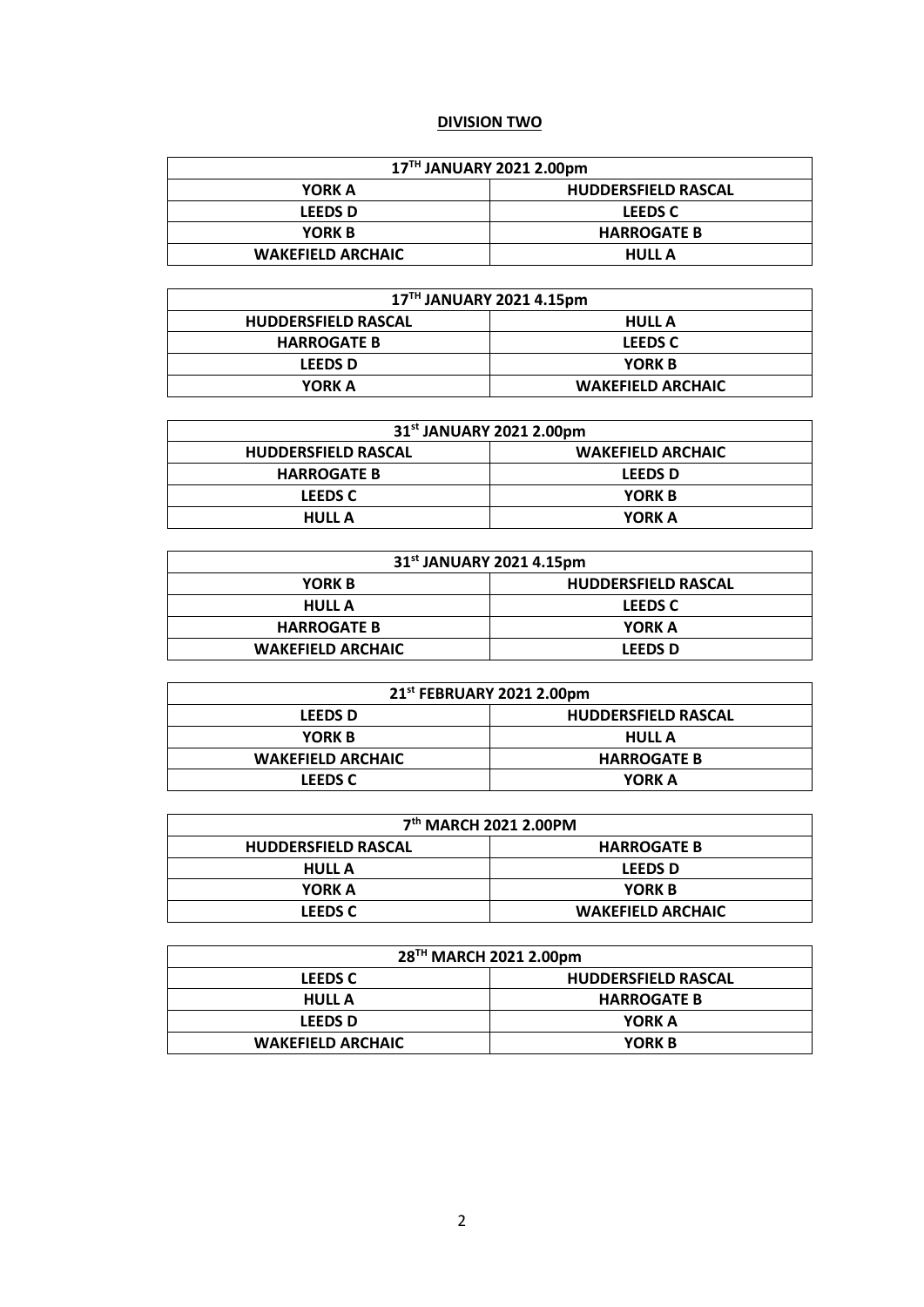#### **DIVISION TWO**

| 17TH JANUARY 2021 2.00pm |                            |  |
|--------------------------|----------------------------|--|
| YORK A                   | <b>HUDDERSFIELD RASCAL</b> |  |
| <b>LEEDS D</b>           | <b>LEEDS C</b>             |  |
| YORK B                   | <b>HARROGATE B</b>         |  |
| <b>WAKEFIELD ARCHAIC</b> | <b>HULL A</b>              |  |

| 17TH JANUARY 2021 4.15pm   |                          |  |
|----------------------------|--------------------------|--|
| <b>HUDDERSFIELD RASCAL</b> | <b>HULL A</b>            |  |
| <b>HARROGATE B</b>         | <b>LEEDS C</b>           |  |
| <b>LEEDS D</b>             | YORK B                   |  |
| YORK A                     | <b>WAKEFIELD ARCHAIC</b> |  |

| 31 <sup>st</sup> JANUARY 2021 2.00pm |                          |
|--------------------------------------|--------------------------|
| <b>HUDDERSFIELD RASCAL</b>           | <b>WAKEFIELD ARCHAIC</b> |
| <b>HARROGATE B</b>                   | <b>LEEDS D</b>           |
| <b>LEEDS C</b>                       | YORK B                   |
| <b>HULL A</b>                        | YORK A                   |

| 31 <sup>st</sup> JANUARY 2021 4.15pm |                            |
|--------------------------------------|----------------------------|
| <b>YORK B</b>                        | <b>HUDDERSFIELD RASCAL</b> |
| <b>HULL A</b>                        | <b>LEEDS C</b>             |
| <b>HARROGATE B</b>                   | YORK A                     |
| <b>WAKEFIELD ARCHAIC</b>             | <b>LEEDS D</b>             |

| 21 <sup>st</sup> FEBRUARY 2021 2.00pm |                            |
|---------------------------------------|----------------------------|
| <b>LEEDS D</b>                        | <b>HUDDERSFIELD RASCAL</b> |
| YORK B                                | <b>HULL A</b>              |
| <b>WAKEFIELD ARCHAIC</b>              | <b>HARROGATE B</b>         |
| <b>LEEDS C</b>                        | YORK A                     |

| 7 <sup>th</sup> MARCH 2021 2.00PM |                          |  |
|-----------------------------------|--------------------------|--|
| <b>HUDDERSFIELD RASCAL</b>        | <b>HARROGATE B</b>       |  |
| <b>HULL A</b>                     | <b>LEEDS D</b>           |  |
| YORK A                            | YORK B                   |  |
| <b>LEEDS C</b>                    | <b>WAKEFIELD ARCHAIC</b> |  |

| 28TH MARCH 2021 2.00pm   |                            |
|--------------------------|----------------------------|
| <b>LEEDS C</b>           | <b>HUDDERSFIELD RASCAL</b> |
| <b>HULL A</b>            | <b>HARROGATE B</b>         |
| <b>LEEDS D</b>           | YORK A                     |
| <b>WAKEFIELD ARCHAIC</b> | YORK B                     |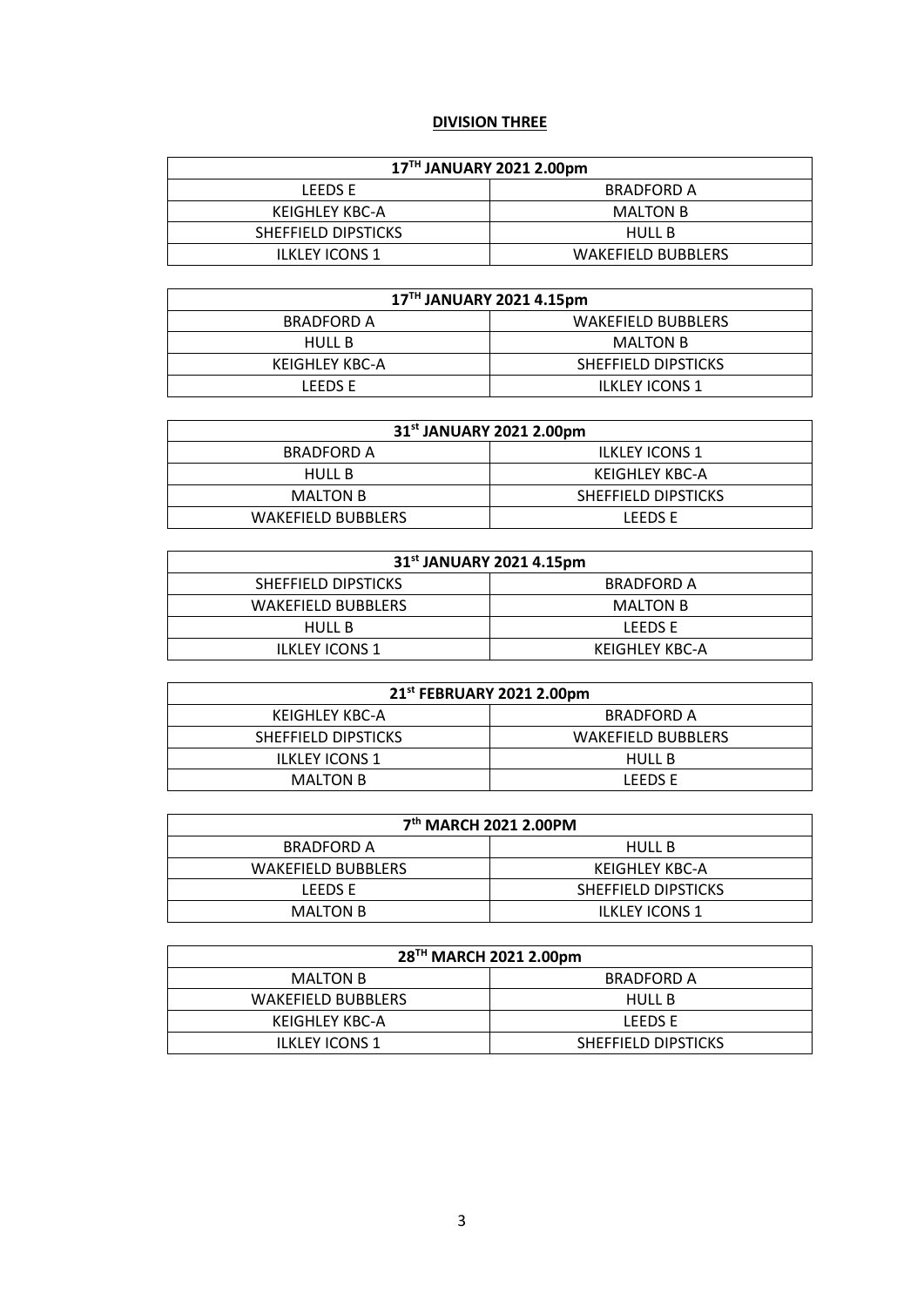# **DIVISION THREE**

| 17TH JANUARY 2021 2.00pm |                           |  |
|--------------------------|---------------------------|--|
| LEEDS E                  | <b>BRADFORD A</b>         |  |
| KEIGHLEY KBC-A           | MALTON B                  |  |
| SHEFFIELD DIPSTICKS      | HULL B                    |  |
| <b>ILKLEY ICONS 1</b>    | <b>WAKEFIELD BUBBLERS</b> |  |

| 17TH JANUARY 2021 4.15pm |                           |  |
|--------------------------|---------------------------|--|
| <b>BRADFORD A</b>        | <b>WAKEFIELD BUBBLERS</b> |  |
| HULL B                   | MALTON B                  |  |
| KEIGHLEY KBC-A           | SHEFFIELD DIPSTICKS       |  |
| LEEDS E                  | <b>ILKLEY ICONS 1</b>     |  |

| 31 <sup>st</sup> JANUARY 2021 2.00pm |                       |  |
|--------------------------------------|-----------------------|--|
| BRADFORD A                           | <b>ILKLEY ICONS 1</b> |  |
| HULL B                               | KEIGHLEY KBC-A        |  |
| <b>MALTON B</b>                      | SHEFFIELD DIPSTICKS   |  |
| <b>WAKEFIELD BUBBLERS</b>            | LEEDS E               |  |

| 31 <sup>st</sup> JANUARY 2021 4.15pm |                 |  |
|--------------------------------------|-----------------|--|
| SHEFFIELD DIPSTICKS                  | BRADFORD A      |  |
| <b>WAKEFIELD BUBBLERS</b>            | <b>MALTON B</b> |  |
| <b>HULL B</b>                        | LEEDS E         |  |
| <b>ILKLEY ICONS 1</b>                | KEIGHLEY KBC-A  |  |

| 21st FEBRUARY 2021 2.00pm |                           |
|---------------------------|---------------------------|
| KEIGHLEY KBC-A            | BRADFORD A                |
| SHEFFIELD DIPSTICKS       | <b>WAKEFIELD BUBBLERS</b> |
| <b>ILKLEY ICONS 1</b>     | HULL B                    |
| <b>MALTON B</b>           | LEEDS E                   |

| 7 <sup>th</sup> MARCH 2021 2.00PM |                       |
|-----------------------------------|-----------------------|
| <b>BRADFORD A</b>                 | <b>HULL B</b>         |
| <b>WAKEFIELD BUBBLERS</b>         | KEIGHLEY KBC-A        |
| LEEDS E                           | SHEFFIELD DIPSTICKS   |
| <b>MALTON B</b>                   | <b>ILKLEY ICONS 1</b> |

| 28 <sup>TH</sup> MARCH 2021 2.00pm |                     |  |
|------------------------------------|---------------------|--|
| MALTON B                           | <b>BRADFORD A</b>   |  |
| <b>WAKEFIELD BUBBLERS</b>          | <b>HULL B</b>       |  |
| KEIGHLEY KBC-A                     | LEEDS E             |  |
| <b>ILKLEY ICONS 1</b>              | SHEFFIELD DIPSTICKS |  |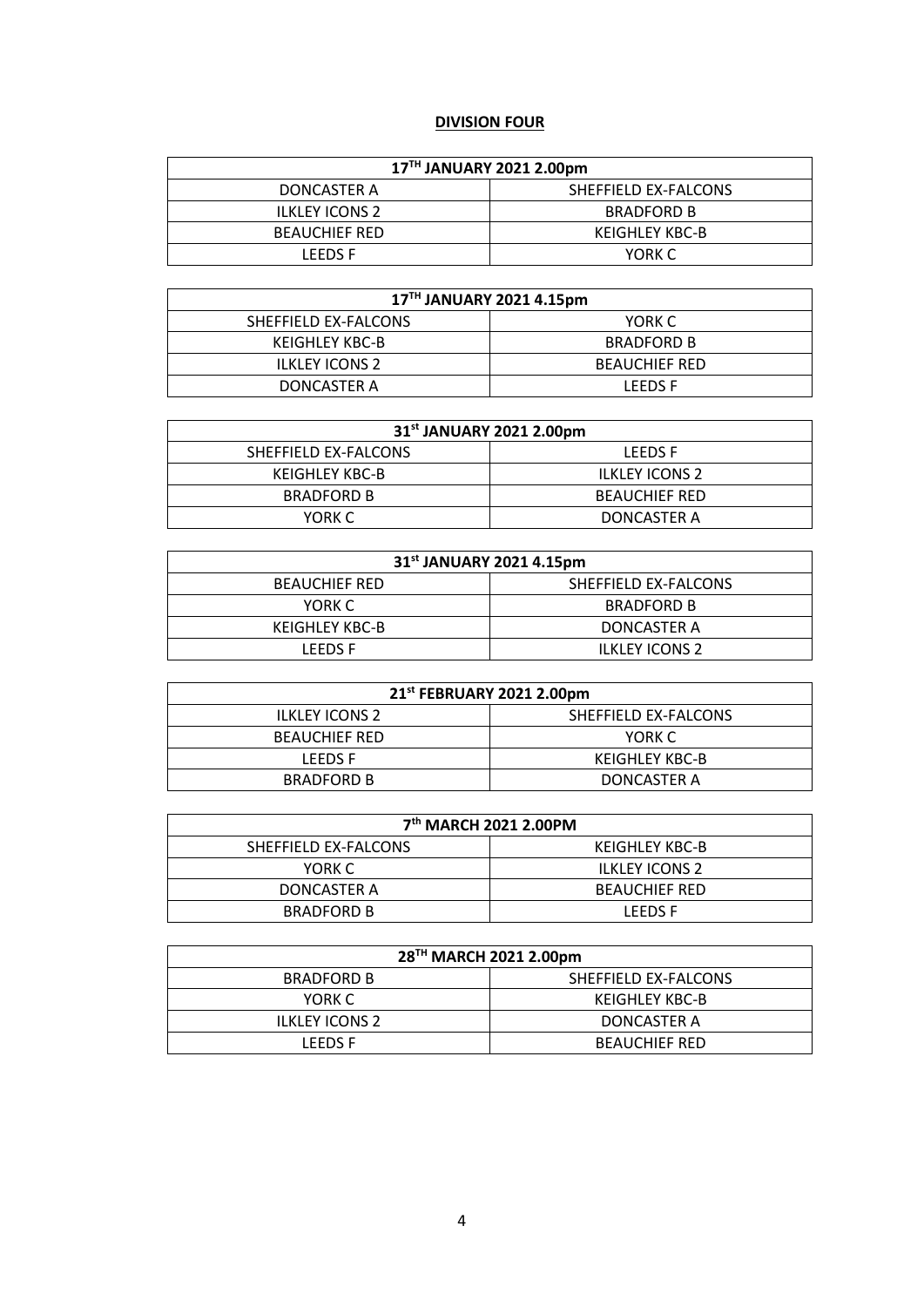# **DIVISION FOUR**

| 17TH JANUARY 2021 2.00pm |                      |  |
|--------------------------|----------------------|--|
| DONCASTER A              | SHEFFIELD EX-FALCONS |  |
| <b>ILKLEY ICONS 2</b>    | <b>BRADFORD B</b>    |  |
| <b>BEAUCHIEF RED</b>     | KEIGHLEY KBC-B       |  |
| LEEDS E                  | YORK C               |  |

| 17TH JANUARY 2021 4.15pm |                      |  |
|--------------------------|----------------------|--|
| SHEFFIELD EX-FALCONS     | YORK C               |  |
| KEIGHLEY KBC-B           | <b>BRADFORD B</b>    |  |
| ILKLEY ICONS 2           | <b>BEAUCHIEF RED</b> |  |
| DONCASTER A              | <b>LEEDS E</b>       |  |

| 31 <sup>st</sup> JANUARY 2021 2.00pm |                       |
|--------------------------------------|-----------------------|
| SHEFFIELD EX-FALCONS                 | LEEDS F               |
| KEIGHLEY KBC-B                       | <b>ILKLEY ICONS 2</b> |
| <b>BRADFORD B</b>                    | <b>BEAUCHIEF RED</b>  |
| YORK C                               | DONCASTER A           |

| 31 <sup>st</sup> JANUARY 2021 4.15pm |                      |  |
|--------------------------------------|----------------------|--|
| <b>BEAUCHIEF RED</b>                 | SHEFFIELD EX-FALCONS |  |
| YORK C                               | <b>BRADFORD B</b>    |  |
| KEIGHLEY KBC-B                       | DONCASTER A          |  |
| LEEDS E                              | ILKLEY ICONS 2       |  |

| 21 <sup>st</sup> FEBRUARY 2021 2.00pm |                      |
|---------------------------------------|----------------------|
| <b>ILKLEY ICONS 2</b>                 | SHEFFIELD EX-FALCONS |
| <b>BEAUCHIEF RED</b>                  | YORK C               |
| <b>LEEDS F</b>                        | KEIGHLEY KBC-B       |
| <b>BRADFORD B</b>                     | DONCASTER A          |

| 7 <sup>th</sup> MARCH 2021 2.00PM |                       |
|-----------------------------------|-----------------------|
| SHEFFIELD EX-FALCONS              | KEIGHLEY KBC-B        |
| YORK C                            | <b>ILKLEY ICONS 2</b> |
| DONCASTER A                       | <b>BEAUCHIEF RED</b>  |
| <b>BRADFORD B</b>                 | I FFDS F              |

| 28TH MARCH 2021 2.00pm |                      |
|------------------------|----------------------|
| <b>BRADFORD B</b>      | SHEFFIELD EX-FALCONS |
| YORK C                 | KEIGHLEY KBC-B       |
| <b>ILKLEY ICONS 2</b>  | DONCASTER A          |
| LEEDS F                | <b>BEAUCHIEF RED</b> |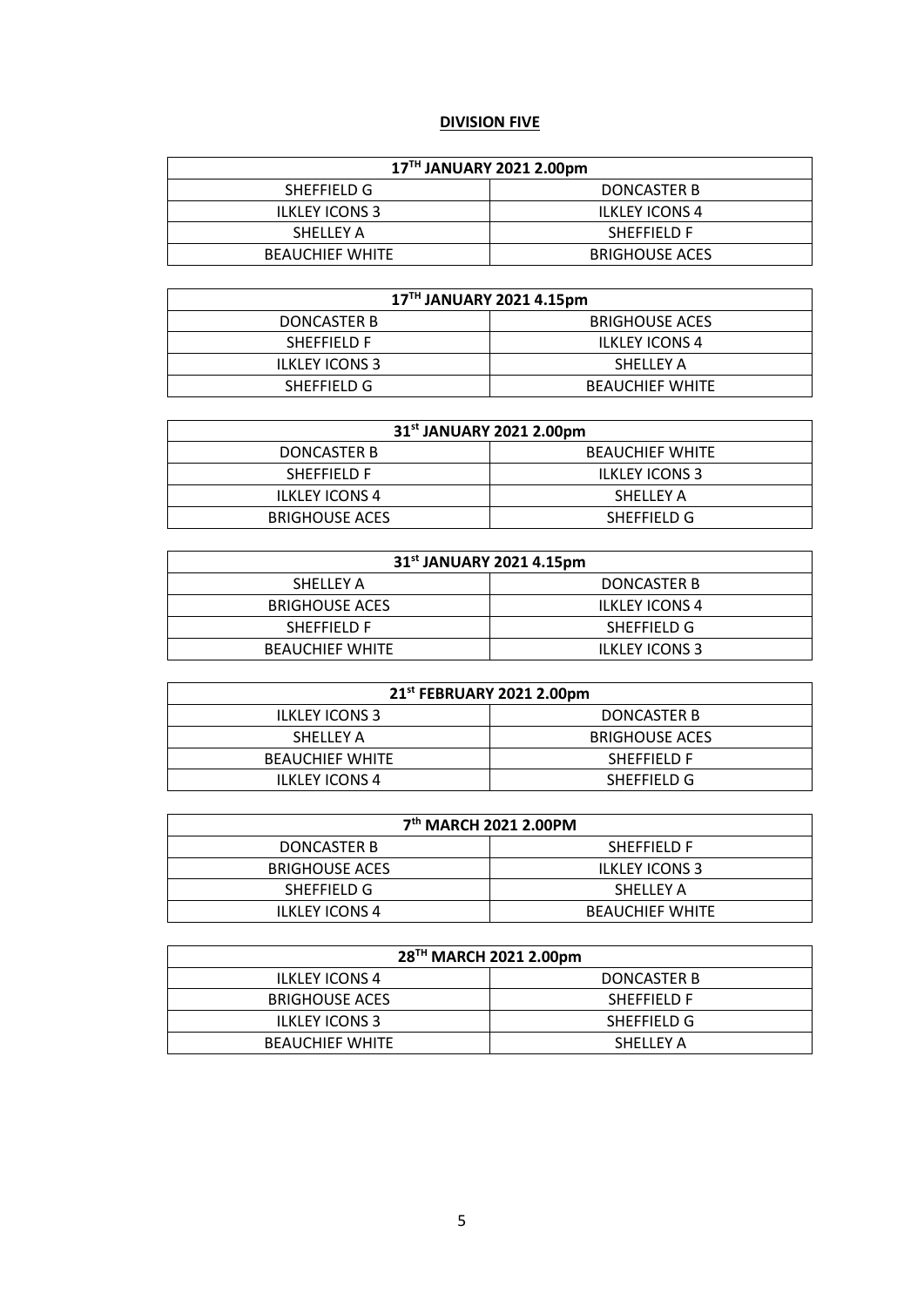# **DIVISION FIVE**

| 17TH JANUARY 2021 2.00pm |                       |  |
|--------------------------|-----------------------|--|
| SHEFFIELD G              | DONCASTER B           |  |
| <b>ILKLEY ICONS 3</b>    | <b>ILKLEY ICONS 4</b> |  |
| SHELLEY A                | SHEFFIELD F           |  |
| <b>BEAUCHIEF WHITE</b>   | <b>BRIGHOUSE ACES</b> |  |

| 17TH JANUARY 2021 4.15pm |                        |  |
|--------------------------|------------------------|--|
| DONCASTER B              | <b>BRIGHOUSE ACES</b>  |  |
| <b>SHEFFIELD F</b>       | <b>ILKLEY ICONS 4</b>  |  |
| <b>ILKLEY ICONS 3</b>    | SHELLEY A              |  |
| SHEFFIELD G              | <b>BEAUCHIEF WHITE</b> |  |

| 31 <sup>st</sup> JANUARY 2021 2.00pm |                        |  |
|--------------------------------------|------------------------|--|
| DONCASTER B                          | <b>BEAUCHIEF WHITE</b> |  |
| <b>SHEFFIELD F</b>                   | <b>ILKLEY ICONS 3</b>  |  |
| <b>ILKLEY ICONS 4</b>                | SHELLEY A              |  |
| <b>BRIGHOUSE ACES</b>                | SHEFFIELD G            |  |

| 31 <sup>st</sup> JANUARY 2021 4.15pm |                       |  |
|--------------------------------------|-----------------------|--|
| SHELLEY A                            | DONCASTER B           |  |
| <b>BRIGHOUSE ACES</b>                | <b>ILKLEY ICONS 4</b> |  |
| <b>SHEFFIELD F</b>                   | SHEFFIELD G           |  |
| <b>BEAUCHIEF WHITE</b>               | <b>ILKLEY ICONS 3</b> |  |

| 21st FEBRUARY 2021 2.00pm |                       |
|---------------------------|-----------------------|
| <b>ILKLEY ICONS 3</b>     | DONCASTER B           |
| SHELLEY A                 | <b>BRIGHOUSE ACES</b> |
| <b>BEAUCHIEF WHITE</b>    | <b>SHEFFIELD F</b>    |
| <b>ILKLEY ICONS 4</b>     | SHEFFIELD G           |

| 7 <sup>th</sup> MARCH 2021 2.00PM |                        |  |
|-----------------------------------|------------------------|--|
| DONCASTER B                       | SHEFFIELD F            |  |
| <b>BRIGHOUSE ACES</b>             | <b>ILKLEY ICONS 3</b>  |  |
| SHEFFIELD G                       | SHELLEY A              |  |
| <b>ILKLEY ICONS 4</b>             | <b>BEAUCHIEF WHITE</b> |  |

| 28 <sup>TH</sup> MARCH 2021 2.00pm |                    |
|------------------------------------|--------------------|
| <b>ILKLEY ICONS 4</b>              | DONCASTER B        |
| <b>BRIGHOUSE ACES</b>              | <b>SHEFFIELD F</b> |
| <b>ILKLEY ICONS 3</b>              | SHEFFIELD G        |
| <b>BEAUCHIEF WHITE</b>             | SHELLEY A          |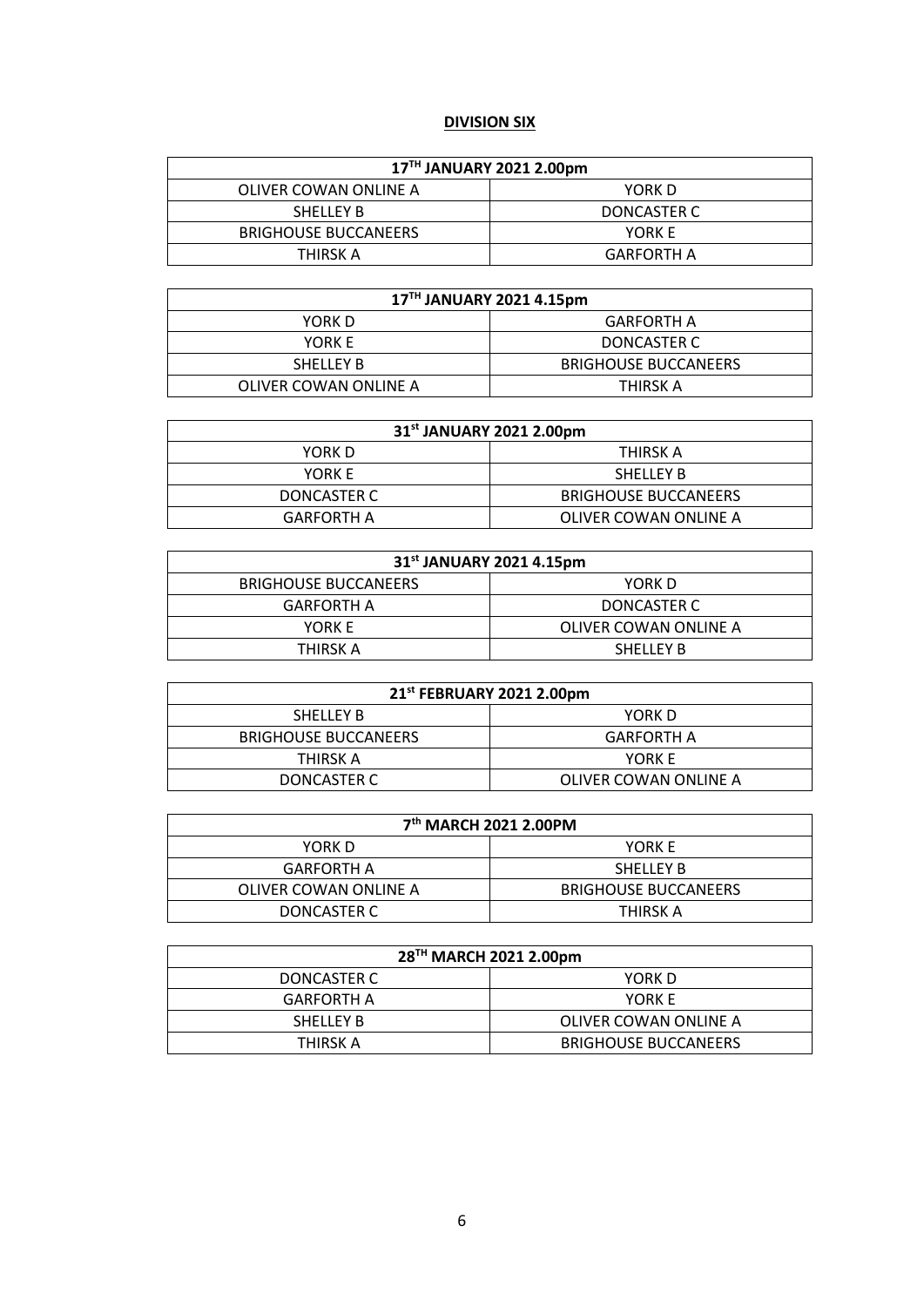# **DIVISION SIX**

| 17TH JANUARY 2021 2.00pm    |             |
|-----------------------------|-------------|
| OLIVER COWAN ONLINE A       | YORK D      |
| <b>SHELLEY B</b>            | DONCASTER C |
| <b>BRIGHOUSE BUCCANEERS</b> | YORK E      |
| THIRSK A                    | GARFORTH A  |

| 17TH JANUARY 2021 4.15pm |                             |
|--------------------------|-----------------------------|
| YORK D                   | <b>GARFORTH A</b>           |
| YORK E                   | DONCASTER C                 |
| <b>SHELLEY B</b>         | <b>BRIGHOUSE BUCCANEERS</b> |
| OLIVER COWAN ONLINE A    | THIRSK A                    |

| 31 <sup>st</sup> JANUARY 2021 2.00pm |                             |
|--------------------------------------|-----------------------------|
| YORK D                               | THIRSK A                    |
| YORK E                               | <b>SHELLEY B</b>            |
| DONCASTER C                          | <b>BRIGHOUSE BUCCANEERS</b> |
| GARFORTH A                           | OLIVER COWAN ONLINE A       |

| 31 <sup>st</sup> JANUARY 2021 4.15pm |                       |
|--------------------------------------|-----------------------|
| <b>BRIGHOUSE BUCCANEERS</b>          | YORK D                |
| <b>GARFORTH A</b>                    | DONCASTER C           |
| YORK E                               | OLIVER COWAN ONLINE A |
| THIRSK A                             | <b>SHELLEY B</b>      |

| 21st FEBRUARY 2021 2.00pm   |                       |
|-----------------------------|-----------------------|
| <b>SHELLEY B</b>            | YORK D                |
| <b>BRIGHOUSE BUCCANEERS</b> | <b>GARFORTH A</b>     |
| THIRSK A                    | YORK E                |
| DONCASTER C                 | OLIVER COWAN ONLINE A |

| 7 <sup>th</sup> MARCH 2021 2.00PM |                             |
|-----------------------------------|-----------------------------|
| YORK D                            | YORK E                      |
| <b>GARFORTH A</b>                 | <b>SHELLEY B</b>            |
| OLIVER COWAN ONLINE A             | <b>BRIGHOUSE BUCCANEERS</b> |
| DONCASTER C                       | THIRSK A                    |

| 28 <sup>TH</sup> MARCH 2021 2.00pm |                             |
|------------------------------------|-----------------------------|
| DONCASTER C                        | YORK D                      |
| <b>GARFORTH A</b>                  | YORK E                      |
| <b>SHELLEY B</b>                   | OLIVER COWAN ONLINE A       |
| THIRSK A                           | <b>BRIGHOUSE BUCCANEERS</b> |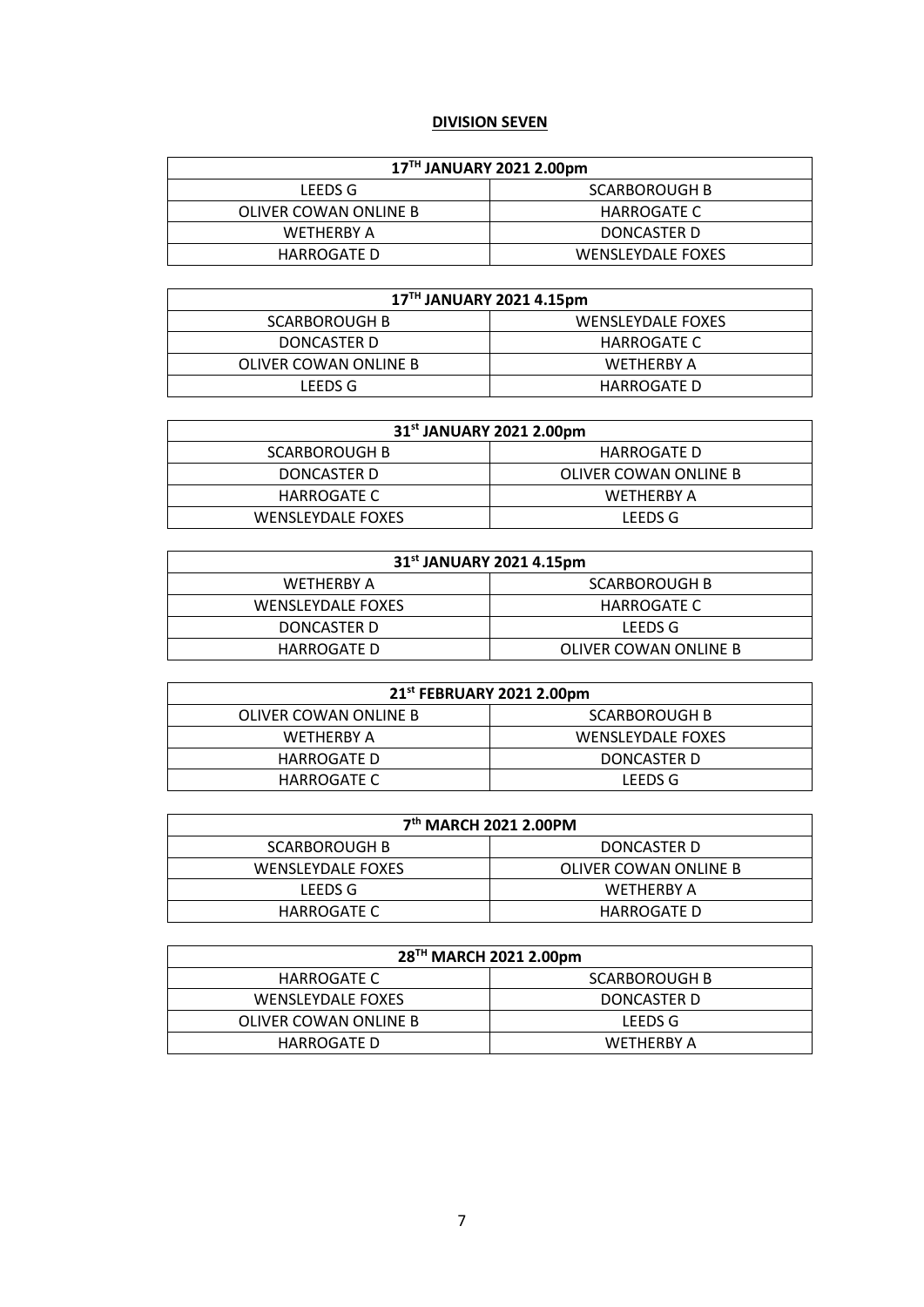#### **DIVISION SEVEN**

| 17 <sup>TH</sup> JANUARY 2021 2.00pm |                          |  |
|--------------------------------------|--------------------------|--|
| LEEDS G                              | <b>SCARBOROUGH B</b>     |  |
| OLIVER COWAN ONLINE B                | HARROGATE C              |  |
| <b>WETHERBY A</b>                    | DONCASTER D              |  |
| HARROGATE D                          | <b>WENSLEYDALE FOXES</b> |  |

| 17 <sup>TH</sup> JANUARY 2021 4.15pm |                          |
|--------------------------------------|--------------------------|
| <b>SCARBOROUGH B</b>                 | <b>WENSLEYDALE FOXES</b> |
| DONCASTER D                          | <b>HARROGATE C</b>       |
| OLIVER COWAN ONLINE B                | <b>WETHERBY A</b>        |
| LEEDS G                              | <b>HARROGATE D</b>       |

| 31st JANUARY 2021 2.00pm |                       |
|--------------------------|-----------------------|
| SCARBOROUGH B            | HARROGATE D           |
| DONCASTER D              | OLIVER COWAN ONLINE B |
| HARROGATE C              | WETHERBY A            |
| WENSLEYDALE FOXES        | LEEDS G               |

| 31 <sup>st</sup> JANUARY 2021 4.15pm |                       |  |
|--------------------------------------|-----------------------|--|
| WETHERBY A                           | <b>SCARBOROUGH B</b>  |  |
| <b>WENSLEYDALE FOXES</b>             | HARROGATE C           |  |
| DONCASTER D                          | LEEDS G               |  |
| HARROGATE D                          | OLIVER COWAN ONLINE B |  |

| 21st FEBRUARY 2021 2.00pm |                          |
|---------------------------|--------------------------|
| OLIVER COWAN ONLINE B     | <b>SCARBOROUGH B</b>     |
| WFTHFRRY A                | <b>WENSLEYDALE FOXES</b> |
| HARROGATE D               | DONCASTER D              |
| HARROGATE C               | LEEDS G                  |

| 7 <sup>th</sup> MARCH 2021 2.00PM |                       |
|-----------------------------------|-----------------------|
| <b>SCARBOROUGH B</b>              | DONCASTER D           |
| <b>WENSLEYDALE FOXES</b>          | OLIVER COWAN ONLINE B |
| LEEDS G                           | WETHERBY A            |
| HARROGATE C                       | <b>HARROGATE D</b>    |

| 28 <sup>TH</sup> MARCH 2021 2.00pm |                      |
|------------------------------------|----------------------|
| HARROGATE C                        | <b>SCARBOROUGH B</b> |
| <b>WENSLEYDALE FOXES</b>           | DONCASTER D          |
| OLIVER COWAN ONLINE B              | LEEDS G              |
| HARROGATE D                        | WETHERBY A           |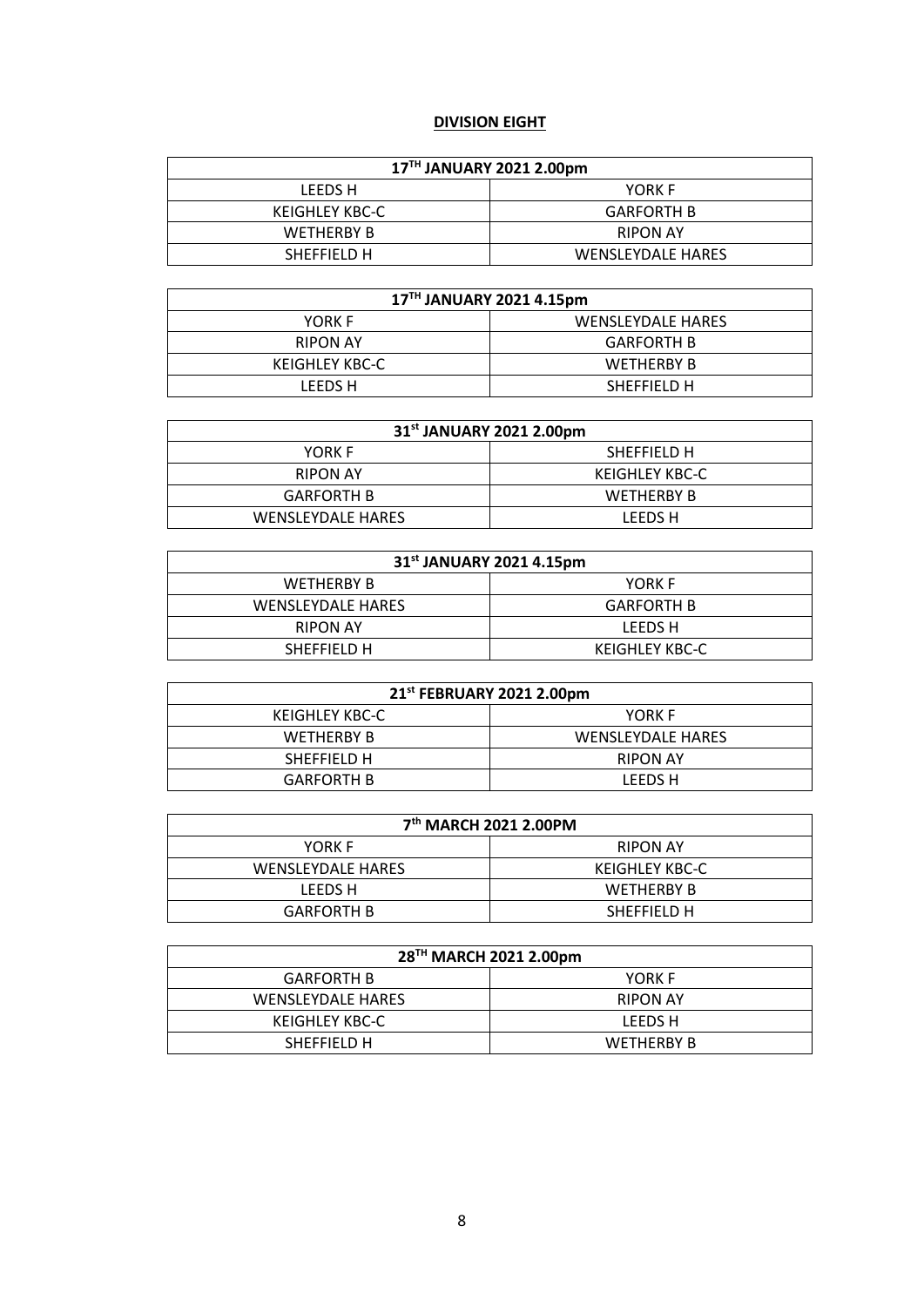# **DIVISION EIGHT**

| 17TH JANUARY 2021 2.00pm |                          |
|--------------------------|--------------------------|
| LEEDS H                  | YORK F                   |
| KEIGHLEY KBC-C           | <b>GARFORTH B</b>        |
| <b>WETHERBY B</b>        | <b>RIPON AY</b>          |
| SHEFFIELD H              | <b>WENSLEYDALE HARES</b> |

| 17TH JANUARY 2021 4.15pm |                          |
|--------------------------|--------------------------|
| YORK F                   | <b>WENSLEYDALE HARES</b> |
| <b>RIPON AY</b>          | <b>GARFORTH B</b>        |
| KEIGHLEY KBC-C           | <b>WETHERBY B</b>        |
| LEEDS H                  | SHEFFIELD H              |

| 31 <sup>st</sup> JANUARY 2021 2.00pm |                   |  |
|--------------------------------------|-------------------|--|
| YORK F                               | SHEFFIELD H       |  |
| <b>RIPON AY</b>                      | KEIGHLEY KBC-C    |  |
| <b>GARFORTH B</b>                    | <b>WETHERBY B</b> |  |
| <b>WENSLEYDALE HARES</b>             | LEEDS H           |  |

| 31 <sup>st</sup> JANUARY 2021 4.15pm |                   |  |
|--------------------------------------|-------------------|--|
| <b>WETHERBY B</b>                    | YORK F            |  |
| <b>WENSLEYDALE HARES</b>             | <b>GARFORTH B</b> |  |
| <b>RIPON AY</b>                      | LEEDS H           |  |
| SHEFFIELD H                          | KEIGHLEY KBC-C    |  |

| 21 <sup>st</sup> FEBRUARY 2021 2.00pm |                          |
|---------------------------------------|--------------------------|
| KEIGHLEY KBC-C                        | YORK F                   |
| <b>WETHERBY B</b>                     | <b>WENSLEYDALE HARES</b> |
| SHEFFIELD H                           | <b>RIPON AY</b>          |
| <b>GARFORTH B</b>                     | LEEDS H                  |

| 7 <sup>th</sup> MARCH 2021 2.00PM |                   |
|-----------------------------------|-------------------|
| YORK F                            | <b>RIPON AY</b>   |
| <b>WENSLEYDALE HARES</b>          | KEIGHLEY KBC-C    |
| LEEDS H                           | <b>WETHERBY B</b> |
| <b>GARFORTH B</b>                 | SHEFFIELD H       |

| 28 <sup>TH</sup> MARCH 2021 2.00pm |                   |
|------------------------------------|-------------------|
| <b>GARFORTH B</b>                  | YORK F            |
| <b>WENSLEYDALE HARES</b>           | <b>RIPON AY</b>   |
| KEIGHLEY KBC-C                     | LEEDS H           |
| SHEFFIELD H                        | <b>WETHERBY B</b> |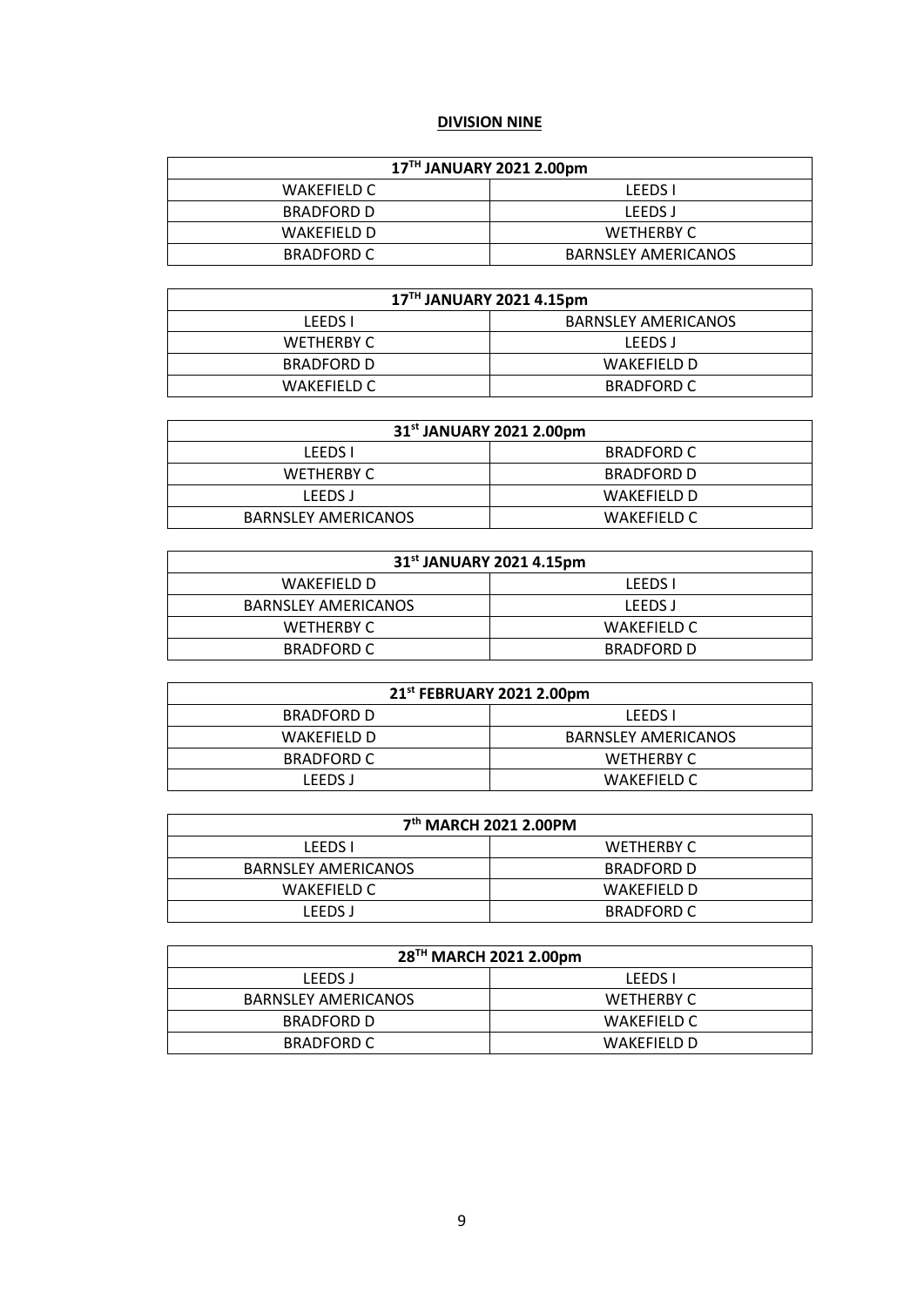#### **DIVISION NINE**

| 17TH JANUARY 2021 2.00pm |                            |  |
|--------------------------|----------------------------|--|
| WAKEFIELD C              | <b>LEEDS</b> I             |  |
| BRADFORD D               | LEEDS J                    |  |
| WAKEFIFLD D              | <b>WETHERBY C</b>          |  |
| BRADFORD C               | <b>BARNSLEY AMERICANOS</b> |  |

| 17TH JANUARY 2021 4.15pm |                            |  |
|--------------------------|----------------------------|--|
| LEEDS I                  | <b>BARNSLEY AMERICANOS</b> |  |
| WETHERBY C               | LEEDS J                    |  |
| <b>BRADFORD D</b>        | WAKEFIFLD D                |  |
| WAKEFIELD C              | <b>BRADFORD C</b>          |  |

| 31 <sup>st</sup> JANUARY 2021 2.00pm |                   |  |
|--------------------------------------|-------------------|--|
| LEEDS I                              | <b>BRADFORD C</b> |  |
| WETHERBY C                           | <b>BRADFORD D</b> |  |
| LEEDS J                              | WAKEFIFLD D       |  |
| <b>BARNSLEY AMERICANOS</b>           | WAKEFIELD C       |  |

| 31 <sup>st</sup> JANUARY 2021 4.15pm |                   |  |
|--------------------------------------|-------------------|--|
| WAKEFIFLD D                          | <b>LEEDS I</b>    |  |
| <b>BARNSLEY AMERICANOS</b>           | <b>LEEDS J</b>    |  |
| WETHERBY C                           | WAKEFIELD C       |  |
| BRADFORD C                           | <b>BRADFORD D</b> |  |

| 21 <sup>st</sup> FEBRUARY 2021 2.00pm |                            |  |
|---------------------------------------|----------------------------|--|
| <b>BRADFORD D</b>                     | <b>LEEDS I</b>             |  |
| WAKEFIELD D                           | <b>BARNSLEY AMERICANOS</b> |  |
| BRADFORD C                            | <b>WETHERBY C</b>          |  |
| LEEDS J                               | WAKEFIELD C                |  |

| 7 <sup>th</sup> MARCH 2021 2.00PM |                   |
|-----------------------------------|-------------------|
| <b>LEEDS I</b>                    | WETHERBY C        |
| <b>BARNSLEY AMERICANOS</b>        | <b>BRADFORD D</b> |
| WAKEFIELD C                       | WAKEFIFLD D       |
| LEEDS J                           | <b>BRADFORD C</b> |

| 28 <sup>TH</sup> MARCH 2021 2.00pm |                   |  |
|------------------------------------|-------------------|--|
| LEEDS J                            | LEEDS I           |  |
| <b>BARNSLEY AMERICANOS</b>         | <b>WETHERBY C</b> |  |
| BRADFORD D                         | WAKEFIELD C       |  |
| BRADFORD C                         | WAKEFIELD D       |  |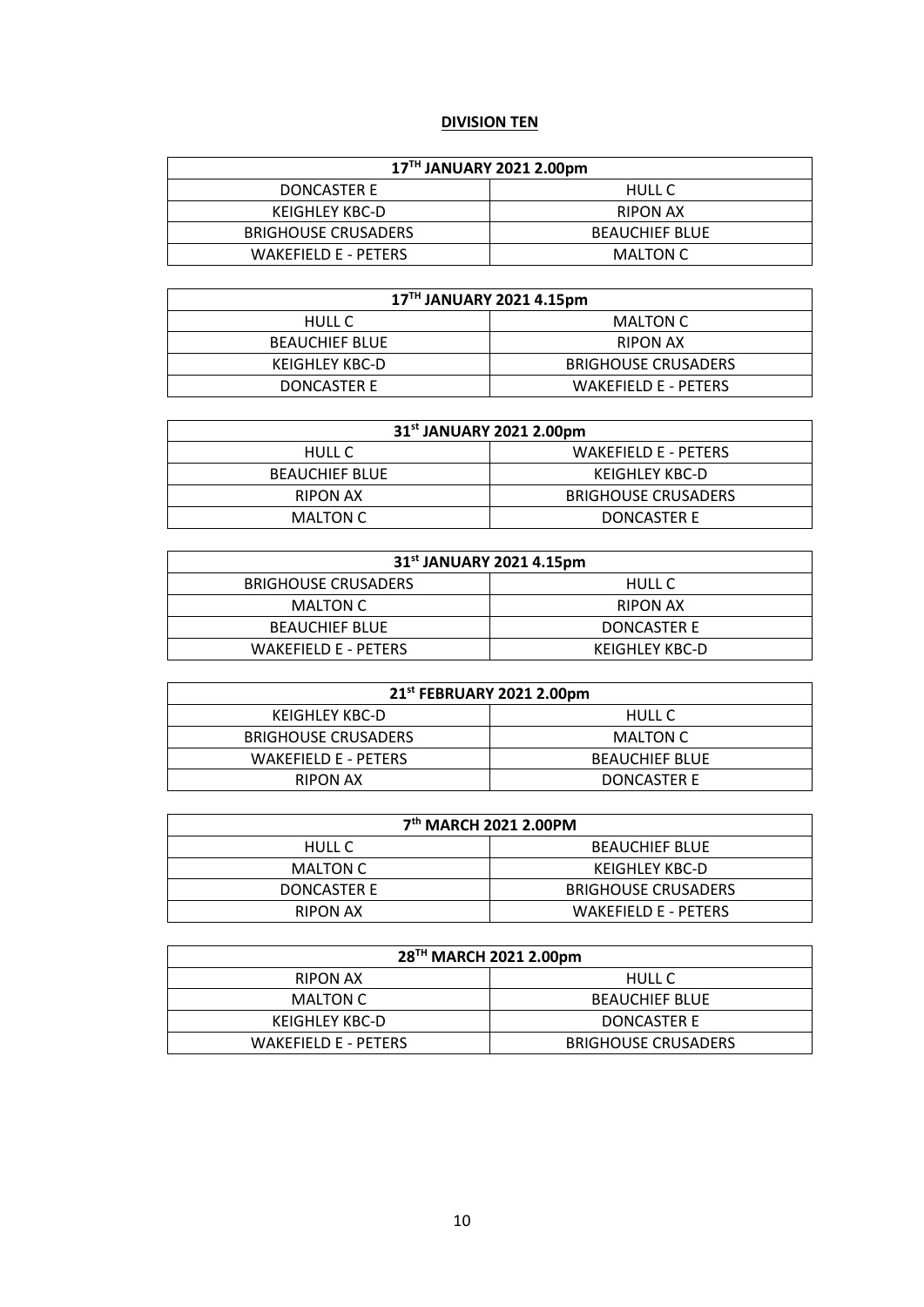# **DIVISION TEN**

| 17TH JANUARY 2021 2.00pm    |                       |  |
|-----------------------------|-----------------------|--|
| DONCASTER E                 | HULL C                |  |
| KEIGHLEY KBC-D              | RIPON AX              |  |
| <b>BRIGHOUSE CRUSADERS</b>  | <b>BEAUCHIEF BLUE</b> |  |
| <b>WAKEFIELD E - PETERS</b> | MALTON C              |  |

| 17TH JANUARY 2021 4.15pm |                             |
|--------------------------|-----------------------------|
| HULL C                   | MALTON C                    |
| <b>BEAUCHIEF BLUE</b>    | RIPON AX                    |
| KEIGHLEY KBC-D           | <b>BRIGHOUSE CRUSADERS</b>  |
| DONCASTER E              | <b>WAKEFIELD E - PETERS</b> |

| 31 <sup>st</sup> JANUARY 2021 2.00pm |                             |
|--------------------------------------|-----------------------------|
| HULL C                               | <b>WAKEFIELD E - PETERS</b> |
| <b>BEAUCHIEF BLUE</b>                | KEIGHLEY KBC-D              |
| RIPON AX                             | <b>BRIGHOUSE CRUSADERS</b>  |
| MALTON C                             | DONCASTER E                 |

| 31 <sup>st</sup> JANUARY 2021 4.15pm |                |  |
|--------------------------------------|----------------|--|
| <b>BRIGHOUSE CRUSADERS</b>           | <b>HULL C</b>  |  |
| MALTON C                             | RIPON AX       |  |
| <b>BEAUCHIEF BLUE</b>                | DONCASTER E    |  |
| <b>WAKEFIELD E - PETERS</b>          | KEIGHLEY KBC-D |  |

| 21st FEBRUARY 2021 2.00pm  |                       |
|----------------------------|-----------------------|
| KEIGHLEY KBC-D             | HULL C                |
| <b>BRIGHOUSE CRUSADERS</b> | MALTON C              |
| WAKEFIELD E - PETERS       | <b>BEAUCHIEF BLUE</b> |
| <b>RIPON AX</b>            | DONCASTER E           |

| 7th MARCH 2021 2.00PM |                             |
|-----------------------|-----------------------------|
| HULL C                | <b>BEAUCHIEF BLUE</b>       |
| MALTON C              | KEIGHLEY KBC-D              |
| DONCASTER E           | <b>BRIGHOUSE CRUSADERS</b>  |
| RIPON AX              | <b>WAKEFIELD E - PETERS</b> |

| 28 <sup>TH</sup> MARCH 2021 2.00pm |                            |  |
|------------------------------------|----------------------------|--|
| RIPON AX                           | <b>HULL C</b>              |  |
| MALTON C                           | <b>BEAUCHIEF BLUE</b>      |  |
| KEIGHLEY KBC-D                     | DONCASTER E                |  |
| WAKEFIELD E - PETERS               | <b>BRIGHOUSE CRUSADERS</b> |  |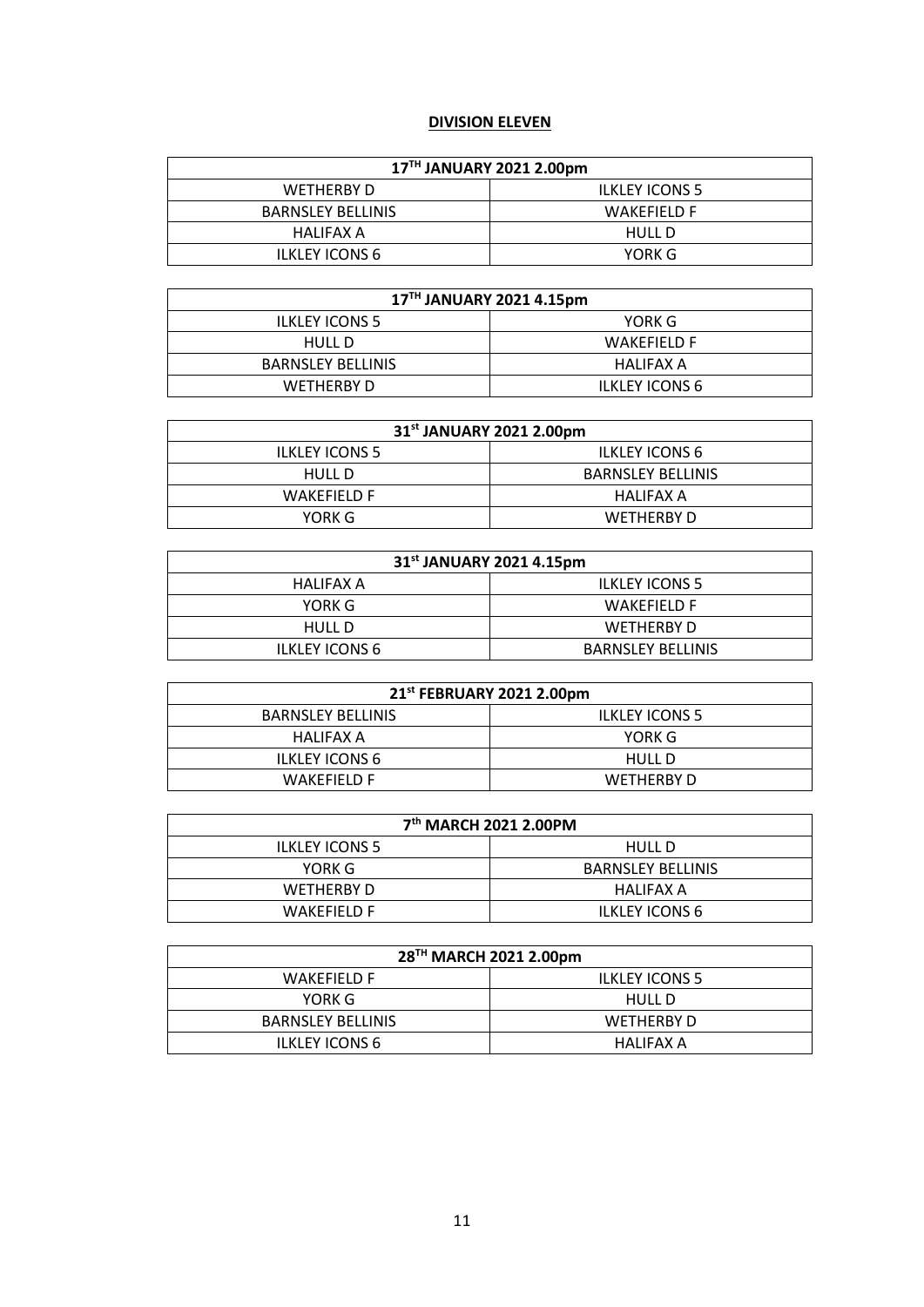# **DIVISION ELEVEN**

| 17TH JANUARY 2021 2.00pm |                       |  |
|--------------------------|-----------------------|--|
| WETHERBY D               | <b>ILKLEY ICONS 5</b> |  |
| <b>BARNSLEY BELLINIS</b> | <b>WAKEFIELD F</b>    |  |
| HALIFAX A                | HULL D                |  |
| <b>ILKLEY ICONS 6</b>    | YORK G                |  |

| 17TH JANUARY 2021 4.15pm |                       |  |
|--------------------------|-----------------------|--|
| <b>ILKLEY ICONS 5</b>    | YORK G                |  |
| HULL D                   | WAKEFIELD F           |  |
| <b>BARNSLEY BELLINIS</b> | HALIFAX A             |  |
| WETHERBY D               | <b>ILKLEY ICONS 6</b> |  |

| 31 <sup>st</sup> JANUARY 2021 2.00pm |                          |
|--------------------------------------|--------------------------|
| <b>ILKLEY ICONS 5</b>                | <b>ILKLEY ICONS 6</b>    |
| HULL D                               | <b>BARNSLEY BELLINIS</b> |
| WAKEFIFLD F                          | HALIFAX A                |
| YORK G                               | WETHERBY D               |

| 31 <sup>st</sup> JANUARY 2021 4.15pm |                          |  |
|--------------------------------------|--------------------------|--|
| HALIFAX A                            | <b>ILKLEY ICONS 5</b>    |  |
| YORK G                               | WAKEFIFLD F              |  |
| <b>HULL D</b>                        | WETHERBY D               |  |
| <b>ILKLEY ICONS 6</b>                | <b>BARNSLEY BELLINIS</b> |  |

| 21 <sup>st</sup> FEBRUARY 2021 2.00pm |                       |  |
|---------------------------------------|-----------------------|--|
| <b>BARNSLEY BELLINIS</b>              | <b>ILKLEY ICONS 5</b> |  |
| HALIFAX A                             | YORK G                |  |
| <b>ILKLEY ICONS 6</b>                 | HULL D                |  |
| WAKEFIELD F                           | WETHERBY D            |  |

| 7 <sup>th</sup> MARCH 2021 2.00PM |                          |  |
|-----------------------------------|--------------------------|--|
| <b>ILKLEY ICONS 5</b>             | HULL D                   |  |
| YORK G                            | <b>BARNSLEY BELLINIS</b> |  |
| <b>WETHERBY D</b>                 | HALIFAX A                |  |
| WAKEFIFLD F                       | <b>ILKLEY ICONS 6</b>    |  |

| 28 <sup>TH</sup> MARCH 2021 2.00pm |                       |  |
|------------------------------------|-----------------------|--|
| WAKEFIFLD F                        | <b>ILKLEY ICONS 5</b> |  |
| YORK G                             | HULL D                |  |
| <b>BARNSLEY BELLINIS</b>           | WETHERBY D            |  |
| <b>ILKLEY ICONS 6</b>              | HALIFAX A             |  |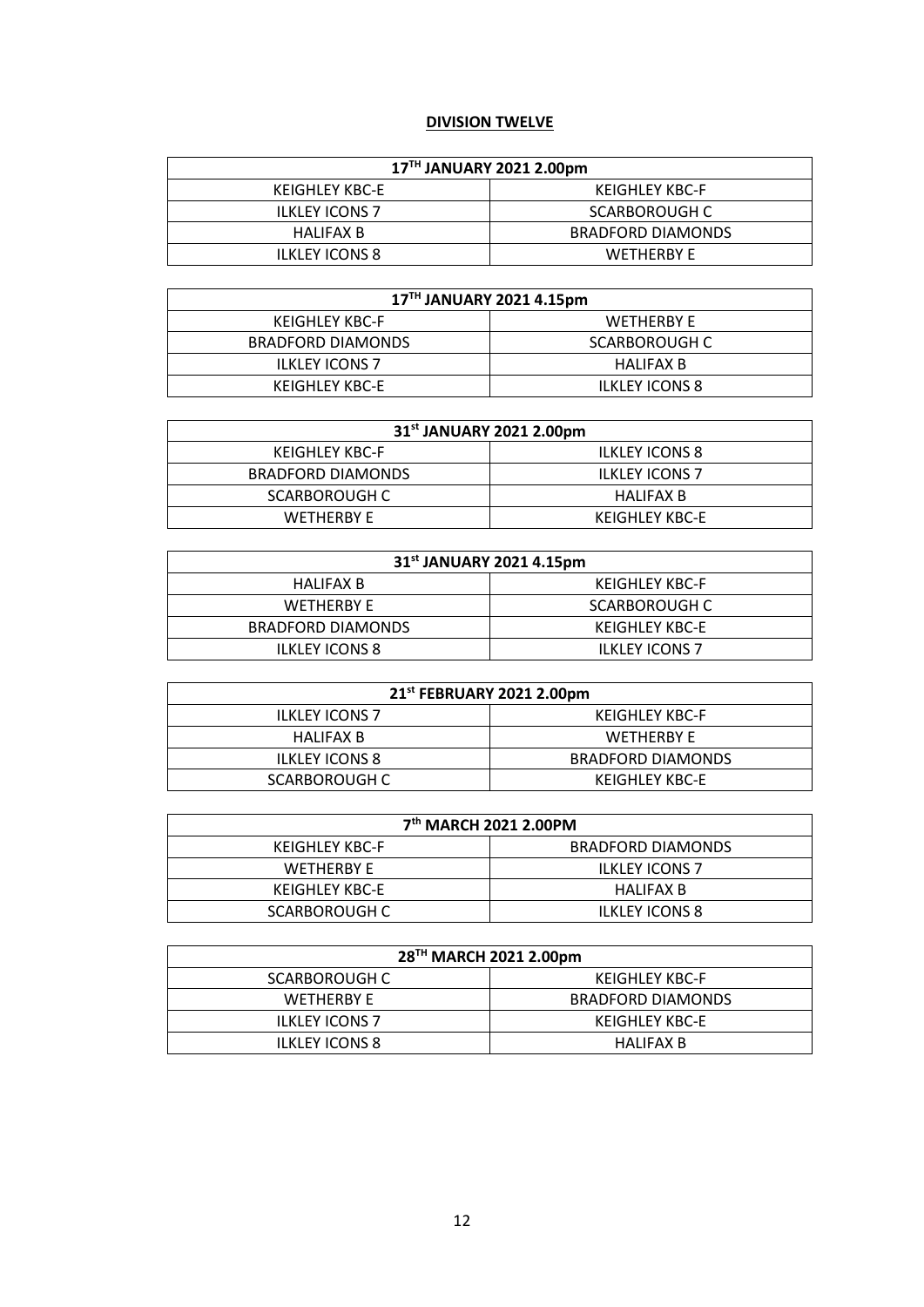# **DIVISION TWELVE**

| 17TH JANUARY 2021 2.00pm |                          |  |
|--------------------------|--------------------------|--|
| KEIGHLEY KBC-E           | KEIGHLEY KBC-F           |  |
| <b>ILKLEY ICONS 7</b>    | SCARBOROUGH C            |  |
| HALIFAX B                | <b>BRADFORD DIAMONDS</b> |  |
| <b>ILKLEY ICONS 8</b>    | <b>WETHERRY F</b>        |  |

| 17TH JANUARY 2021 4.15pm |                       |  |
|--------------------------|-----------------------|--|
| KEIGHLEY KBC-F           | <b>WETHERBY F</b>     |  |
| <b>BRADFORD DIAMONDS</b> | SCARBOROUGH C         |  |
| <b>ILKLEY ICONS 7</b>    | HALIFAX B             |  |
| KEIGHLEY KBC-E           | <b>ILKLEY ICONS 8</b> |  |

| 31 <sup>st</sup> JANUARY 2021 2.00pm |                       |  |
|--------------------------------------|-----------------------|--|
| KEIGHLEY KBC-F                       | <b>ILKLEY ICONS 8</b> |  |
| <b>BRADFORD DIAMONDS</b>             | <b>ILKLEY ICONS 7</b> |  |
| SCARBOROUGH C                        | HALIFAX B             |  |
| WFTHFRRY F                           | KEIGHLEY KBC-E        |  |

| 31 <sup>st</sup> JANUARY 2021 4.15pm |                       |  |
|--------------------------------------|-----------------------|--|
| HALIFAX B                            | KEIGHLEY KBC-F        |  |
| WFTHFRRY F                           | SCARBOROUGH C         |  |
| <b>BRADFORD DIAMONDS</b>             | KEIGHLEY KBC-E        |  |
| <b>ILKLEY ICONS 8</b>                | <b>ILKLEY ICONS 7</b> |  |

| 21st FEBRUARY 2021 2.00pm |                          |  |
|---------------------------|--------------------------|--|
| <b>ILKLEY ICONS 7</b>     | KEIGHLEY KBC-F           |  |
| HALIFAX B                 | <b>WETHERBY F</b>        |  |
| <b>ILKLEY ICONS 8</b>     | <b>BRADFORD DIAMONDS</b> |  |
| SCARBOROUGH C             | KEIGHLEY KBC-E           |  |

| 7 <sup>th</sup> MARCH 2021 2.00PM |                       |  |
|-----------------------------------|-----------------------|--|
| KEIGHLEY KBC-F                    | BRADFORD DIAMONDS     |  |
| <b>WETHERBY F</b>                 | <b>ILKLEY ICONS 7</b> |  |
| KEIGHLEY KBC-E                    | <b>HALIFAX B</b>      |  |
| SCARBOROUGH C                     | <b>ILKLEY ICONS 8</b> |  |

| 28 <sup>TH</sup> MARCH 2021 2.00pm |                          |
|------------------------------------|--------------------------|
| SCARBOROUGH C                      | KEIGHLEY KBC-F           |
| WFTHFRRY F                         | <b>BRADFORD DIAMONDS</b> |
| <b>ILKLEY ICONS 7</b>              | KEIGHLEY KBC-E           |
| <b>ILKLEY ICONS 8</b>              | <b>HALIFAX B</b>         |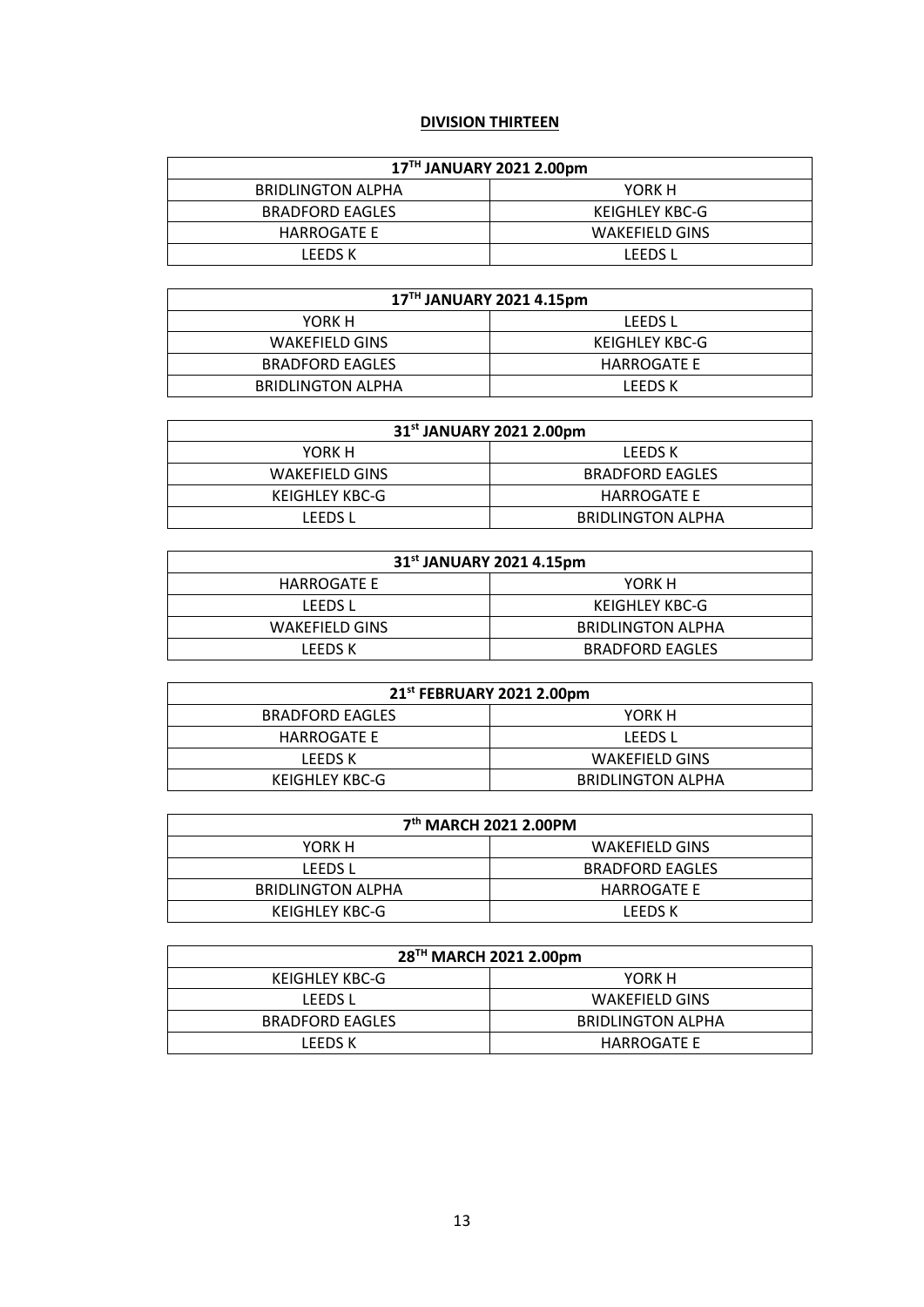# **DIVISION THIRTEEN**

| 17TH JANUARY 2021 2.00pm |                |  |
|--------------------------|----------------|--|
| <b>BRIDLINGTON ALPHA</b> | YORK H         |  |
| <b>BRADFORD EAGLES</b>   | KEIGHLEY KBC-G |  |
| HARROGATE E              | WAKEFIELD GINS |  |
| LEEDS K                  | LEEDS L        |  |

| 17TH JANUARY 2021 4.15pm |                    |
|--------------------------|--------------------|
| YORK H                   | LEEDS L            |
| <b>WAKEFIELD GINS</b>    | KEIGHLEY KBC-G     |
| <b>BRADFORD EAGLES</b>   | <b>HARROGATE E</b> |
| BRIDLINGTON ALPHA        | LEEDS K            |

| 31 <sup>st</sup> JANUARY 2021 2.00pm |                          |
|--------------------------------------|--------------------------|
| YORK H                               | LEEDS K                  |
| <b>WAKEFIELD GINS</b>                | <b>BRADFORD EAGLES</b>   |
| KEIGHLEY KBC-G                       | <b>HARROGATE E</b>       |
| LEEDS L                              | <b>BRIDLINGTON ALPHA</b> |

| 31 <sup>st</sup> JANUARY 2021 4.15pm |                          |
|--------------------------------------|--------------------------|
| <b>HARROGATE E</b>                   | YORK H                   |
| LEEDS L                              | KEIGHLEY KBC-G           |
| <b>WAKEFIELD GINS</b>                | <b>BRIDLINGTON ALPHA</b> |
| LEEDS K                              | <b>BRADFORD EAGLES</b>   |

| 21st FEBRUARY 2021 2.00pm |                          |
|---------------------------|--------------------------|
| <b>BRADFORD EAGLES</b>    | YORK H                   |
| HARROGATE E               | LEEDS L                  |
| LEEDS K                   | <b>WAKEFIELD GINS</b>    |
| KEIGHLEY KBC-G            | <b>BRIDLINGTON ALPHA</b> |

| 7 <sup>th</sup> MARCH 2021 2.00PM |                        |
|-----------------------------------|------------------------|
| YORK H                            | WAKEFIELD GINS         |
| <b>LEEDS L</b>                    | <b>BRADFORD EAGLES</b> |
| <b>BRIDLINGTON ALPHA</b>          | HARROGATE E            |
| KEIGHLEY KBC-G                    | LEEDS K                |

| 28 <sup>TH</sup> MARCH 2021 2.00pm |                          |
|------------------------------------|--------------------------|
| KEIGHLEY KBC-G                     | YORK H                   |
| <b>LEEDS L</b>                     | <b>WAKEFIELD GINS</b>    |
| <b>BRADFORD EAGLES</b>             | <b>BRIDLINGTON ALPHA</b> |
| LEEDS K                            | <b>HARROGATE E</b>       |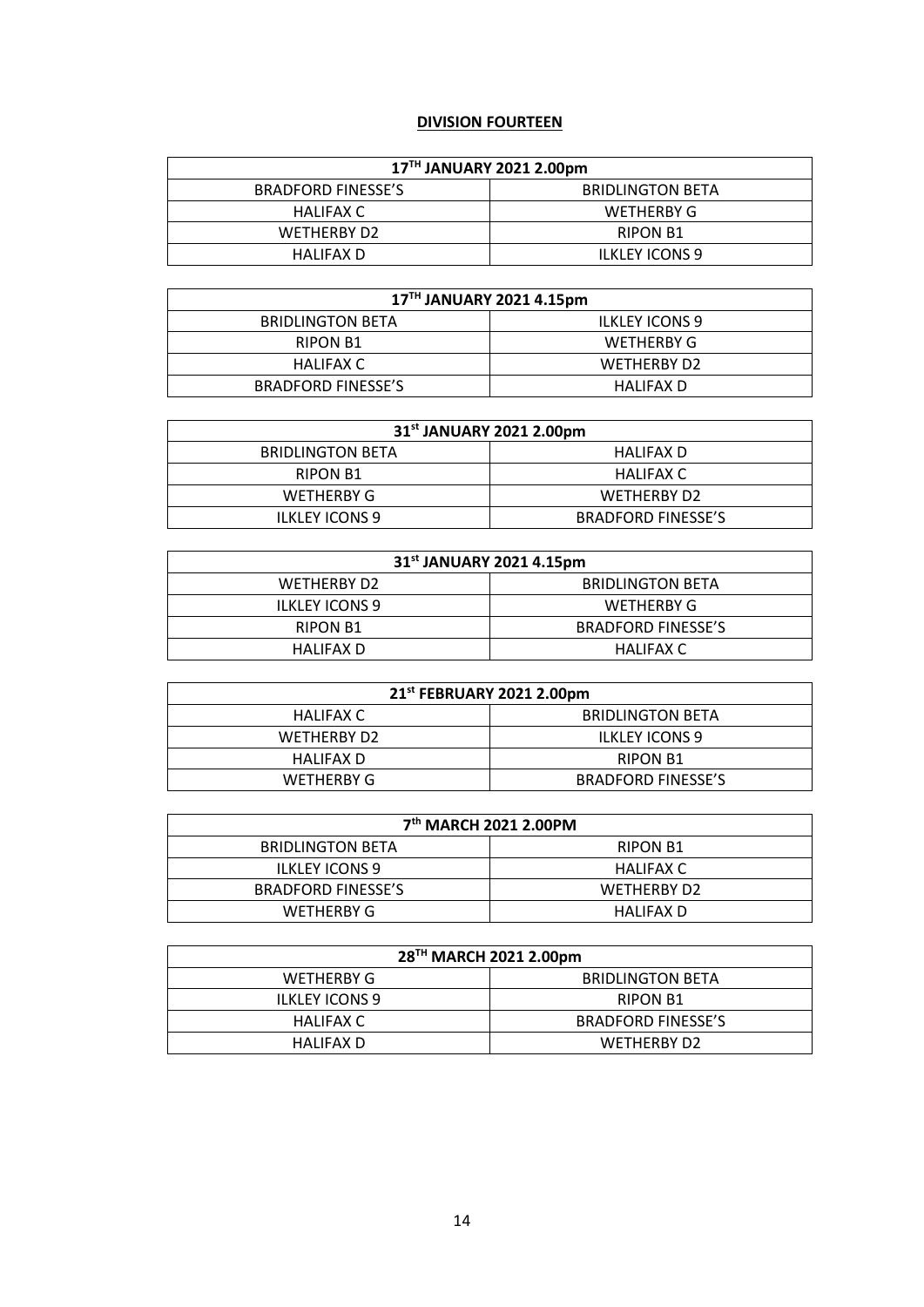# **DIVISION FOURTEEN**

| 17TH JANUARY 2021 2.00pm  |                         |  |
|---------------------------|-------------------------|--|
| <b>BRADFORD FINESSE'S</b> | <b>BRIDLINGTON BETA</b> |  |
| HALIFAX C                 | WETHERBY G              |  |
| WETHERBY D2               | <b>RIPON B1</b>         |  |
| HALIFAX D                 | <b>ILKLEY ICONS 9</b>   |  |

| 17TH JANUARY 2021 4.15pm  |                         |
|---------------------------|-------------------------|
| <b>BRIDLINGTON BETA</b>   | <b>ILKLEY ICONS 9</b>   |
| RIPON B1                  | WETHERBY G              |
| HALIFAX C                 | WETHERBY D <sub>2</sub> |
| <b>BRADFORD FINESSE'S</b> | HALIFAX D               |

| 31 <sup>st</sup> JANUARY 2021 2.00pm |                           |
|--------------------------------------|---------------------------|
| <b>BRIDLINGTON BETA</b>              | HALIFAX D                 |
| RIPON B1                             | HALIFAX C                 |
| WETHERBY G                           | WETHERBY D <sub>2</sub>   |
| <b>ILKLEY ICONS 9</b>                | <b>BRADFORD FINESSE'S</b> |

| 31 <sup>st</sup> JANUARY 2021 4.15pm |                           |  |
|--------------------------------------|---------------------------|--|
| WETHERBY D <sub>2</sub>              | <b>BRIDLINGTON BETA</b>   |  |
| <b>ILKLEY ICONS 9</b>                | WETHERBY G                |  |
| <b>RIPON B1</b>                      | <b>BRADFORD FINESSE'S</b> |  |
| HALIFAX D                            | HALIFAX C                 |  |

| 21 <sup>st</sup> FEBRUARY 2021 2.00pm |                           |
|---------------------------------------|---------------------------|
| HALIFAX C                             | <b>BRIDLINGTON BETA</b>   |
| WETHERBY D <sub>2</sub>               | <b>ILKLEY ICONS 9</b>     |
| HALIFAX D                             | <b>RIPON B1</b>           |
| WETHERBY G                            | <b>BRADFORD FINESSE'S</b> |

| 7 <sup>th</sup> MARCH 2021 2.00PM |                         |
|-----------------------------------|-------------------------|
| <b>BRIDLINGTON BETA</b>           | <b>RIPON B1</b>         |
| <b>ILKLEY ICONS 9</b>             | HALIFAX C               |
| <b>BRADFORD FINESSE'S</b>         | WETHERBY D <sub>2</sub> |
| WETHERBY G                        | HALIFAX D               |

| 28 <sup>TH</sup> MARCH 2021 2.00pm |                           |
|------------------------------------|---------------------------|
| WETHERBY G                         | <b>BRIDLINGTON BETA</b>   |
| <b>ILKLEY ICONS 9</b>              | <b>RIPON B1</b>           |
| HALIFAX C                          | <b>BRADFORD FINESSE'S</b> |
| HALIFAX D                          | WETHERBY D2               |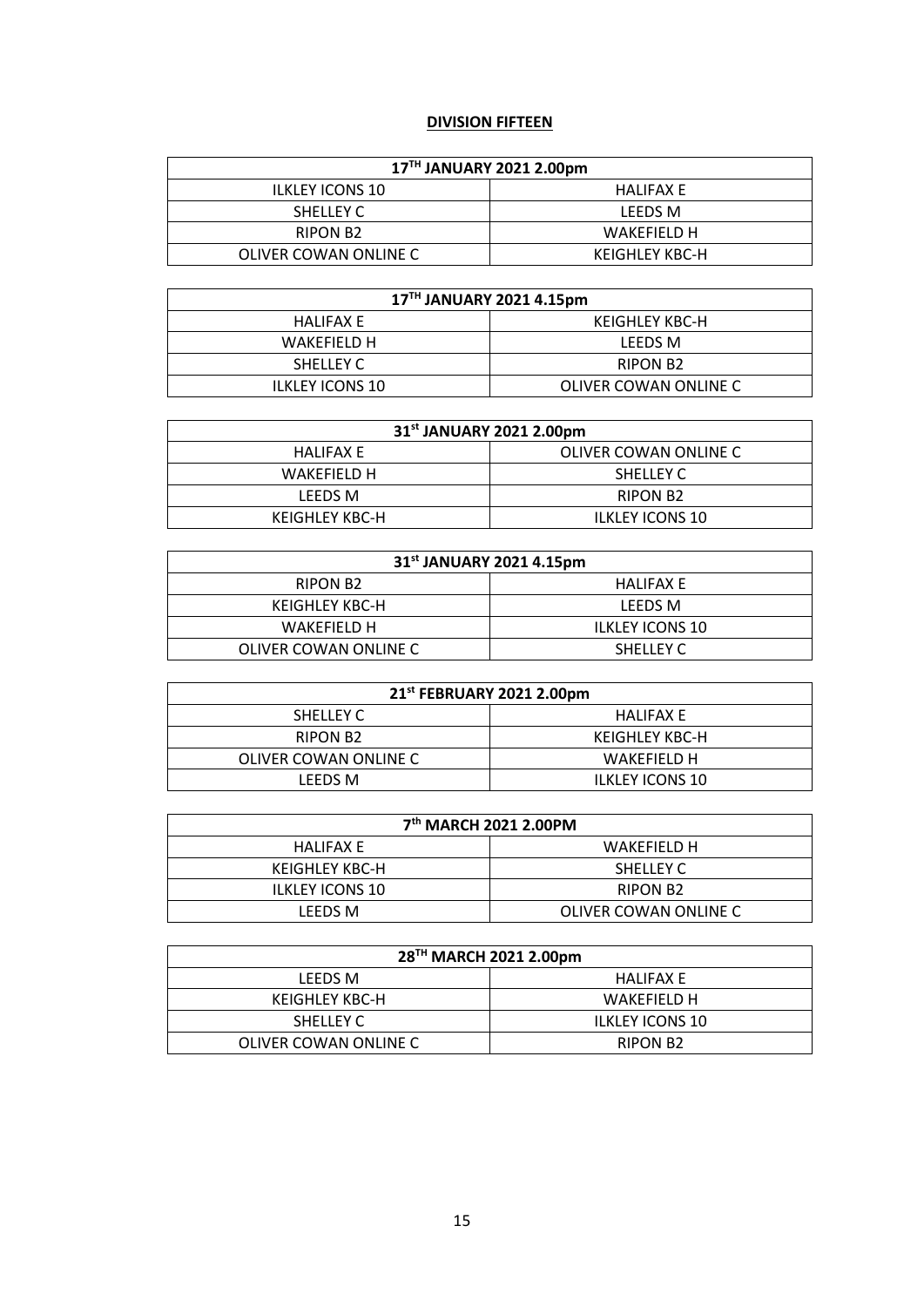# **DIVISION FIFTEEN**

| 17TH JANUARY 2021 2.00pm |                |  |
|--------------------------|----------------|--|
| <b>ILKLEY ICONS 10</b>   | HALIFAX E      |  |
| <b>SHELLEY C</b>         | LEEDS M        |  |
| RIPON B <sub>2</sub>     | WAKEFIFLD H    |  |
| OLIVER COWAN ONLINE C    | KEIGHLEY KBC-H |  |

| 17TH JANUARY 2021 4.15pm |                       |  |
|--------------------------|-----------------------|--|
| HALIFAX E                | KEIGHLEY KBC-H        |  |
| WAKEFIFLD H              | LEEDS M               |  |
| <b>SHELLEY C</b>         | <b>RIPON B2</b>       |  |
| <b>ILKLEY ICONS 10</b>   | OLIVER COWAN ONLINE C |  |

| 31 <sup>st</sup> JANUARY 2021 2.00pm |                        |  |
|--------------------------------------|------------------------|--|
| HALIFAX E                            | OLIVER COWAN ONLINE C  |  |
| WAKEFIFLD H                          | <b>SHELLEY C</b>       |  |
| LEEDS M                              | <b>RIPON B2</b>        |  |
| KEIGHLEY KBC-H                       | <b>ILKLEY ICONS 10</b> |  |

| 31 <sup>st</sup> JANUARY 2021 4.15pm |                        |  |
|--------------------------------------|------------------------|--|
| RIPON B <sub>2</sub>                 | HALIFAX E              |  |
| KEIGHLEY KBC-H                       | LEEDS M                |  |
| WAKEFIFLD H                          | <b>ILKLEY ICONS 10</b> |  |
| OLIVER COWAN ONLINE C                | SHELLEY C              |  |

| 21 <sup>st</sup> FEBRUARY 2021 2.00pm |                        |
|---------------------------------------|------------------------|
| <b>SHELLEY C</b>                      | HALIFAX E              |
| RIPON B <sub>2</sub>                  | KEIGHLEY KBC-H         |
| OLIVER COWAN ONLINE C                 | WAKEFIFLD H            |
| LEEDS M                               | <b>ILKLEY ICONS 10</b> |

| 7 <sup>th</sup> MARCH 2021 2.00PM |                       |
|-----------------------------------|-----------------------|
| HALIFAX E                         | WAKEFIFLD H           |
| KEIGHLEY KBC-H                    | <b>SHELLEY C</b>      |
| <b>ILKLEY ICONS 10</b>            | <b>RIPON B2</b>       |
| LEEDS M                           | OLIVER COWAN ONLINE C |

| 28 <sup>TH</sup> MARCH 2021 2.00pm |                        |
|------------------------------------|------------------------|
| LEEDS M                            | HALIFAX E              |
| KEIGHLEY KBC-H                     | WAKEFIFLD H            |
| SHELLEY C                          | <b>ILKLEY ICONS 10</b> |
| OLIVER COWAN ONLINE C              | RIPON B <sub>2</sub>   |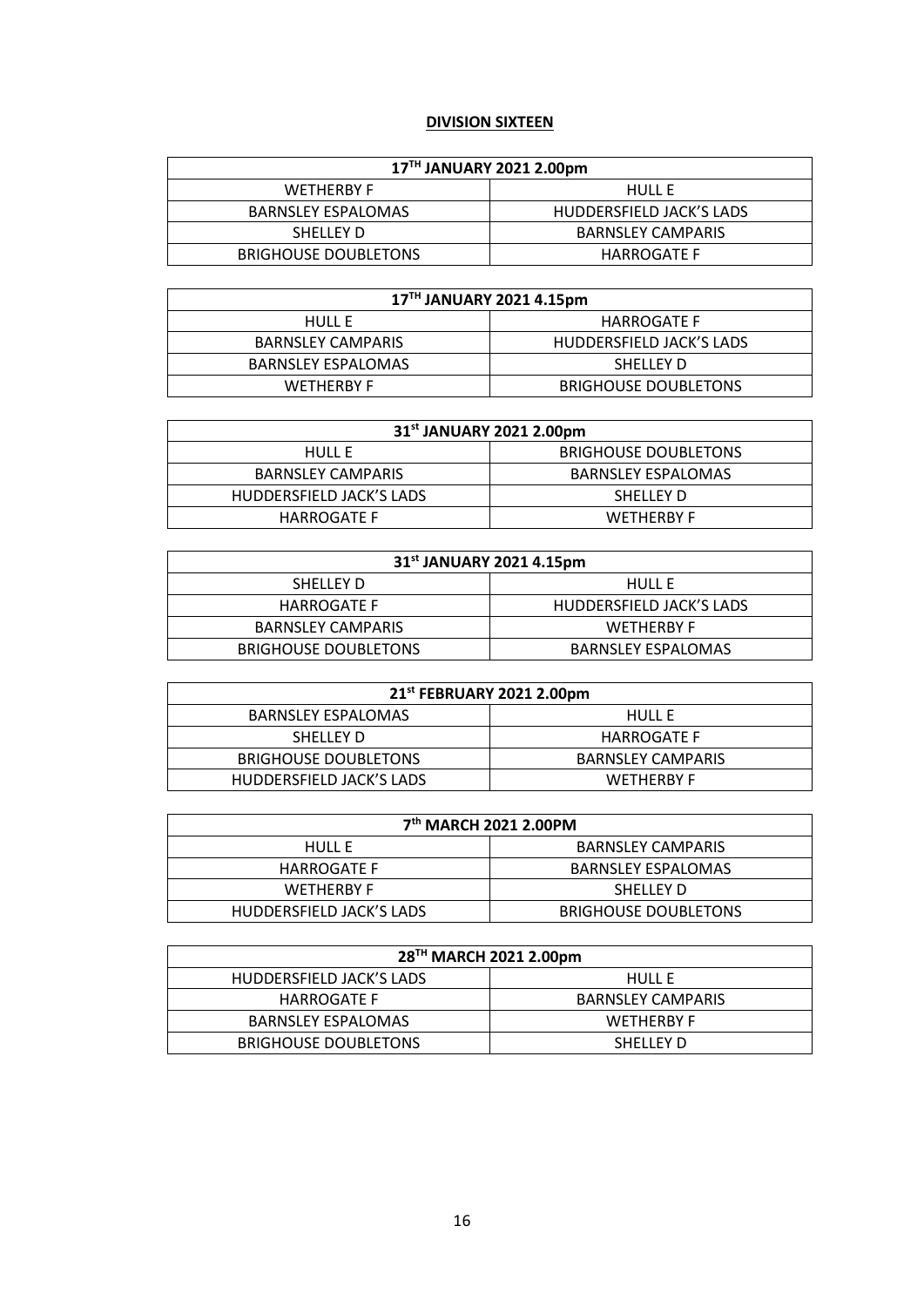# **DIVISION SIXTEEN**

| 17TH JANUARY 2021 2.00pm    |                          |  |
|-----------------------------|--------------------------|--|
| <b>WETHERBY F</b>           | HULL F                   |  |
| <b>BARNSLEY ESPALOMAS</b>   | HUDDERSFIELD JACK'S LADS |  |
| SHELLEY D                   | <b>BARNSLEY CAMPARIS</b> |  |
| <b>BRIGHOUSE DOUBLETONS</b> | <b>HARROGATE F</b>       |  |

| 17TH JANUARY 2021 4.15pm  |                             |
|---------------------------|-----------------------------|
| HULL F                    | <b>HARROGATE F</b>          |
| <b>BARNSLEY CAMPARIS</b>  | HUDDERSFIELD JACK'S LADS    |
| <b>BARNSLEY ESPALOMAS</b> | <b>SHELLEY D</b>            |
| <b>WETHERBY F</b>         | <b>BRIGHOUSE DOUBLETONS</b> |

| 31 <sup>st</sup> JANUARY 2021 2.00pm |                             |
|--------------------------------------|-----------------------------|
| HULL F                               | <b>BRIGHOUSE DOUBLETONS</b> |
| <b>BARNSLEY CAMPARIS</b>             | <b>BARNSLEY ESPALOMAS</b>   |
| HUDDERSFIELD JACK'S LADS             | <b>SHELLEY D</b>            |
| <b>HARROGATE F</b>                   | <b>WETHERBY F</b>           |

| 31 <sup>st</sup> JANUARY 2021 4.15pm |                           |  |
|--------------------------------------|---------------------------|--|
| SHELLEY D                            | <b>HULL E</b>             |  |
| <b>HARROGATE F</b>                   | HUDDERSFIELD JACK'S LADS  |  |
| <b>BARNSLEY CAMPARIS</b>             | <b>WETHERBY F</b>         |  |
| <b>BRIGHOUSE DOUBLETONS</b>          | <b>BARNSLEY ESPALOMAS</b> |  |

| 21 <sup>st</sup> FEBRUARY 2021 2.00pm |                          |
|---------------------------------------|--------------------------|
| <b>BARNSLEY ESPALOMAS</b>             | <b>HULL E</b>            |
| SHELLEY D                             | <b>HARROGATE F</b>       |
| <b>BRIGHOUSE DOUBLETONS</b>           | <b>BARNSLEY CAMPARIS</b> |
| HUDDERSFIELD JACK'S LADS              | <b>WETHERBY F</b>        |

| 7 <sup>th</sup> MARCH 2021 2.00PM |                             |
|-----------------------------------|-----------------------------|
| HULL F                            | <b>BARNSLEY CAMPARIS</b>    |
| <b>HARROGATE F</b>                | <b>BARNSLEY ESPALOMAS</b>   |
| <b>WETHERBY F</b>                 | SHELLEY D                   |
| HUDDERSFIELD JACK'S LADS          | <b>BRIGHOUSE DOUBLETONS</b> |

| 28 <sup>TH</sup> MARCH 2021 2.00pm |                          |
|------------------------------------|--------------------------|
| HUDDERSFIELD JACK'S LADS           | <b>HULL E</b>            |
| <b>HARROGATE F</b>                 | <b>BARNSLEY CAMPARIS</b> |
| <b>BARNSLEY ESPALOMAS</b>          | <b>WETHERBY F</b>        |
| <b>BRIGHOUSE DOUBLETONS</b>        | <b>SHELLEY D</b>         |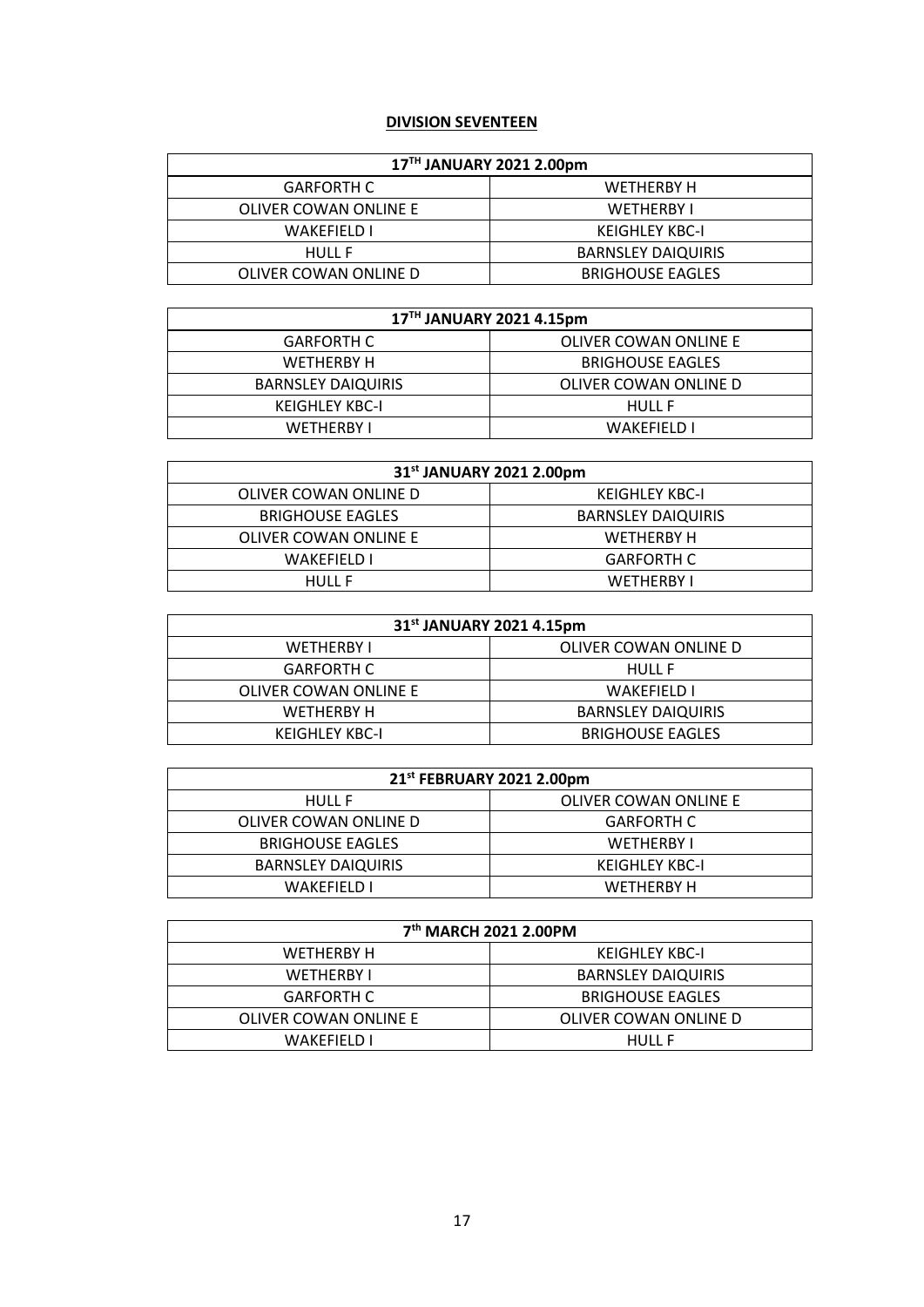#### **DIVISION SEVENTEEN**

| 17TH JANUARY 2021 2.00pm |                           |
|--------------------------|---------------------------|
| <b>GARFORTH C</b>        | WETHERBY H                |
| OLIVER COWAN ONLINE E    | <b>WETHERBY I</b>         |
| <b>WAKEFIELD I</b>       | <b>KEIGHLEY KBC-I</b>     |
| <b>HULL F</b>            | <b>BARNSLEY DAIQUIRIS</b> |
| OLIVER COWAN ONLINE D    | <b>BRIGHOUSE EAGLES</b>   |

| 17 <sup>TH</sup> JANUARY 2021 4.15pm |                         |
|--------------------------------------|-------------------------|
| <b>GARFORTH C</b>                    | OLIVER COWAN ONLINE E   |
| WETHERBY H                           | <b>BRIGHOUSE EAGLES</b> |
| <b>BARNSLEY DAIQUIRIS</b>            | OLIVER COWAN ONLINE D   |
| <b>KEIGHLEY KBC-I</b>                | <b>HULL F</b>           |
| <b>WETHERRY I</b>                    | <b>WAKEFIFLD I</b>      |

| 31 <sup>st</sup> JANUARY 2021 2.00pm |                           |
|--------------------------------------|---------------------------|
| OLIVER COWAN ONLINE D                | <b>KEIGHLEY KBC-I</b>     |
| <b>BRIGHOUSE EAGLES</b>              | <b>BARNSLEY DAIQUIRIS</b> |
| OLIVER COWAN ONLINE E                | WETHERBY H                |
| WAKEFIELD I                          | <b>GARFORTH C</b>         |
| HULL F                               | <b>WETHERBY I</b>         |

| 31 <sup>st</sup> JANUARY 2021 4.15pm |                           |
|--------------------------------------|---------------------------|
| <b>WETHERBY I</b>                    | OLIVER COWAN ONLINE D     |
| <b>GARFORTH C</b>                    | <b>HULL F</b>             |
| OLIVER COWAN ONLINE E                | <b>WAKEFIELD L</b>        |
| <b>WETHERBY H</b>                    | <b>BARNSLEY DAIQUIRIS</b> |
| KEIGHLEY KBC-I                       | <b>BRIGHOUSE EAGLES</b>   |

| 21st FEBRUARY 2021 2.00pm |                       |
|---------------------------|-----------------------|
| <b>HULL F</b>             | OLIVER COWAN ONLINE E |
| OLIVER COWAN ONLINE D     | <b>GARFORTH C</b>     |
| <b>BRIGHOUSE EAGLES</b>   | <b>WETHERBY I</b>     |
| <b>BARNSLEY DAIQUIRIS</b> | <b>KEIGHLEY KBC-I</b> |
| WAKFFIFLD I               | WFTHFRRY H            |

| 7 <sup>th</sup> MARCH 2021 2.00PM |                           |
|-----------------------------------|---------------------------|
| WETHERBY H                        | KEIGHLEY KBC-I            |
| <b>WETHERBY I</b>                 | <b>BARNSLEY DAIQUIRIS</b> |
| <b>GARFORTH C</b>                 | <b>BRIGHOUSE EAGLES</b>   |
| OLIVER COWAN ONLINE E             | OLIVER COWAN ONLINE D     |
| WAKFFIFLD I                       | <b>HULL F</b>             |